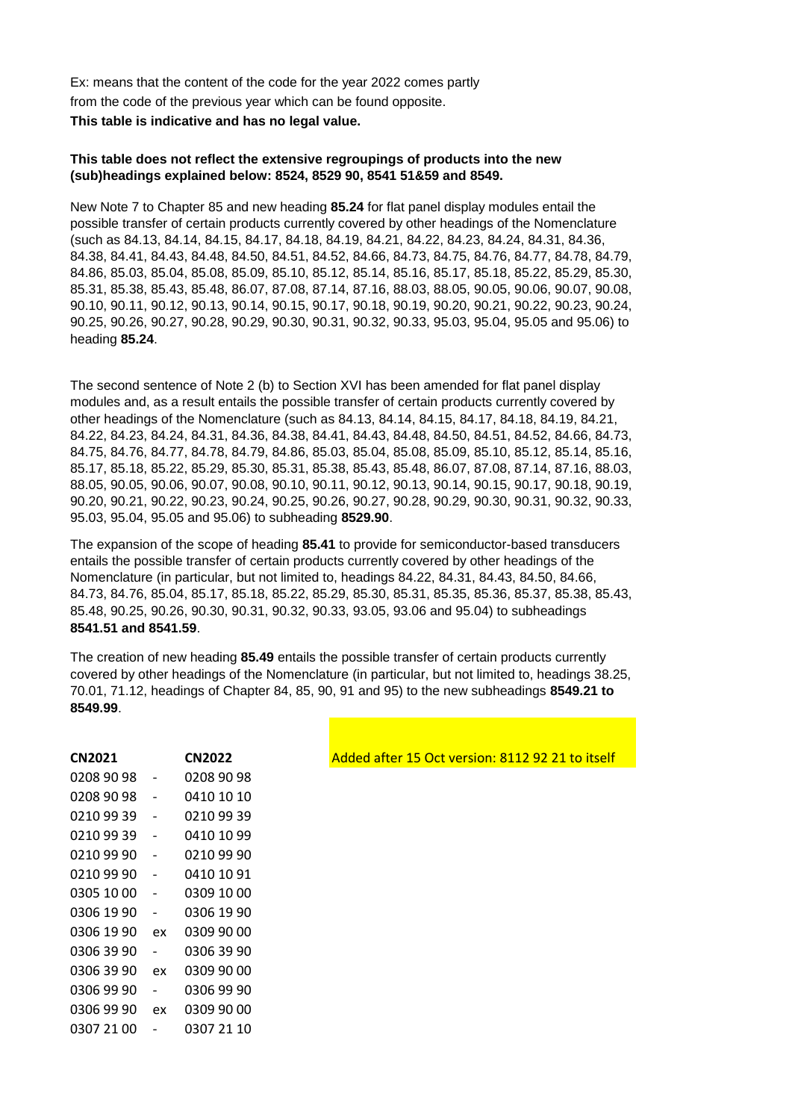Ex: means that the content of the code for the year 2022 comes partly from the code of the previous year which can be found opposite. **This table is indicative and has no legal value.**

## **This table does not reflect the extensive regroupings of products into the new (sub)headings explained below: 8524, 8529 90, 8541 51&59 and 8549.**

New Note 7 to Chapter 85 and new heading **85.24** for flat panel display modules entail the possible transfer of certain products currently covered by other headings of the Nomenclature (such as 84.13, 84.14, 84.15, 84.17, 84.18, 84.19, 84.21, 84.22, 84.23, 84.24, 84.31, 84.36, 84.38, 84.41, 84.43, 84.48, 84.50, 84.51, 84.52, 84.66, 84.73, 84.75, 84.76, 84.77, 84.78, 84.79, 84.86, 85.03, 85.04, 85.08, 85.09, 85.10, 85.12, 85.14, 85.16, 85.17, 85.18, 85.22, 85.29, 85.30, 85.31, 85.38, 85.43, 85.48, 86.07, 87.08, 87.14, 87.16, 88.03, 88.05, 90.05, 90.06, 90.07, 90.08, 90.10, 90.11, 90.12, 90.13, 90.14, 90.15, 90.17, 90.18, 90.19, 90.20, 90.21, 90.22, 90.23, 90.24, 90.25, 90.26, 90.27, 90.28, 90.29, 90.30, 90.31, 90.32, 90.33, 95.03, 95.04, 95.05 and 95.06) to heading **85.24**.

The second sentence of Note 2 (b) to Section XVI has been amended for flat panel display modules and, as a result entails the possible transfer of certain products currently covered by other headings of the Nomenclature (such as 84.13, 84.14, 84.15, 84.17, 84.18, 84.19, 84.21, 84.22, 84.23, 84.24, 84.31, 84.36, 84.38, 84.41, 84.43, 84.48, 84.50, 84.51, 84.52, 84.66, 84.73, 84.75, 84.76, 84.77, 84.78, 84.79, 84.86, 85.03, 85.04, 85.08, 85.09, 85.10, 85.12, 85.14, 85.16, 85.17, 85.18, 85.22, 85.29, 85.30, 85.31, 85.38, 85.43, 85.48, 86.07, 87.08, 87.14, 87.16, 88.03, 88.05, 90.05, 90.06, 90.07, 90.08, 90.10, 90.11, 90.12, 90.13, 90.14, 90.15, 90.17, 90.18, 90.19, 90.20, 90.21, 90.22, 90.23, 90.24, 90.25, 90.26, 90.27, 90.28, 90.29, 90.30, 90.31, 90.32, 90.33, 95.03, 95.04, 95.05 and 95.06) to subheading **8529.90**.

The expansion of the scope of heading **85.41** to provide for semiconductor-based transducers entails the possible transfer of certain products currently covered by other headings of the Nomenclature (in particular, but not limited to, headings 84.22, 84.31, 84.43, 84.50, 84.66, 84.73, 84.76, 85.04, 85.17, 85.18, 85.22, 85.29, 85.30, 85.31, 85.35, 85.36, 85.37, 85.38, 85.43, 85.48, 90.25, 90.26, 90.30, 90.31, 90.32, 90.33, 93.05, 93.06 and 95.04) to subheadings **8541.51 and 8541.59**.

The creation of new heading **85.49** entails the possible transfer of certain products currently covered by other headings of the Nomenclature (in particular, but not limited to, headings 38.25, 70.01, 71.12, headings of Chapter 84, 85, 90, 91 and 95) to the new subheadings **8549.21 to 8549.99**.

| CN2021     |    | <b>CN2022</b> |
|------------|----|---------------|
| 0208 90 98 |    | 0208 90 98    |
| 0208 90 98 |    | 0410 10 10    |
| 0210 99 39 |    | 0210 99 39    |
| 0210 99 39 |    | 0410 10 99    |
| 0210 99 90 |    | 0210 99 90    |
| 0210 99 90 |    | 0410 10 91    |
| 0305 10 00 |    | 0309 10 00    |
| 0306 19 90 |    | 0306 19 90    |
| 0306 19 90 | ex | 0309 90 00    |
| 0306 39 90 |    | 0306 39 90    |
| 0306 39 90 | ex | 0309 90 00    |
| 0306 99 90 |    | 0306 99 90    |
| 0306 99 90 | ex | 0309 90 00    |
| 0307 21 00 |    | 0307 21 10    |

Added after 15 Oct version: 8112 92 21 to itself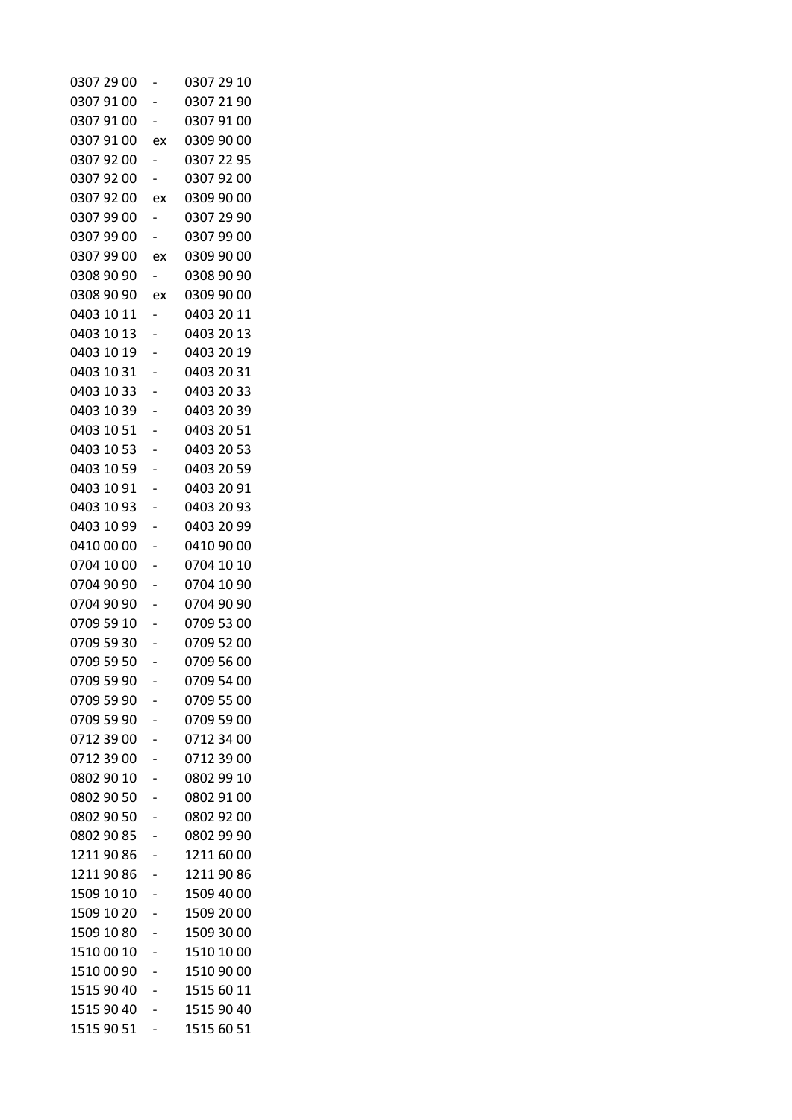| 0307 29 00 |                          | 0307 29 10 |
|------------|--------------------------|------------|
| 0307 91 00 |                          | 0307 21 90 |
| 0307 91 00 |                          | 0307 91 00 |
| 0307 91 00 | ex                       | 0309 90 00 |
| 0307 92 00 |                          | 0307 22 95 |
| 0307 92 00 |                          | 0307 92 00 |
| 0307 92 00 | ex                       | 0309 90 00 |
| 0307 99 00 |                          | 0307 29 90 |
| 0307 99 00 |                          | 0307 99 00 |
| 0307 99 00 | ex                       | 0309 90 00 |
| 0308 90 90 |                          | 0308 90 90 |
| 0308 90 90 | ex                       | 0309 90 00 |
| 0403 10 11 | $\overline{\phantom{a}}$ | 0403 20 11 |
| 0403 10 13 |                          | 0403 20 13 |
| 0403 10 19 |                          | 0403 20 19 |
| 0403 10 31 |                          | 0403 20 31 |
| 0403 10 33 |                          | 0403 20 33 |
| 0403 10 39 |                          | 0403 20 39 |
| 0403 10 51 |                          | 0403 20 51 |
| 0403 10 53 |                          | 0403 20 53 |
| 0403 10 59 |                          | 0403 20 59 |
| 0403 10 91 |                          | 0403 20 91 |
| 0403 10 93 |                          | 0403 20 93 |
| 0403 10 99 |                          | 0403 20 99 |
| 0410 00 00 |                          | 0410 90 00 |
| 0704 10 00 |                          | 0704 10 10 |
| 0704 90 90 |                          | 0704 10 90 |
| 0704 90 90 |                          | 0704 90 90 |
| 0709 59 10 |                          | 0709 53 00 |
| 0709 59 30 |                          | 0709 52 00 |
| 0709 59 50 |                          | 0709 56 00 |
| 0709 59 90 |                          | 0709 54 00 |
| 0709 59 90 |                          | 0709 55 00 |
| 0709 59 90 |                          | 0709 59 00 |
| 0712 39 00 |                          | 0712 34 00 |
| 0712 39 00 |                          | 0712 39 00 |
| 0802 90 10 |                          | 0802 99 10 |
| 0802 90 50 |                          | 0802 91 00 |
| 0802 90 50 |                          | 0802 92 00 |
| 0802 90 85 | -                        | 0802 99 90 |
| 1211 90 86 |                          | 1211 60 00 |
| 1211 90 86 |                          | 1211 90 86 |
| 1509 10 10 |                          | 1509 40 00 |
| 1509 10 20 |                          | 1509 20 00 |
| 1509 10 80 |                          | 1509 30 00 |
| 1510 00 10 |                          | 1510 10 00 |
| 1510 00 90 |                          | 1510 90 00 |
| 1515 90 40 |                          | 1515 60 11 |
| 1515 90 40 |                          | 1515 90 40 |
| 1515 90 51 |                          | 1515 60 51 |
|            |                          |            |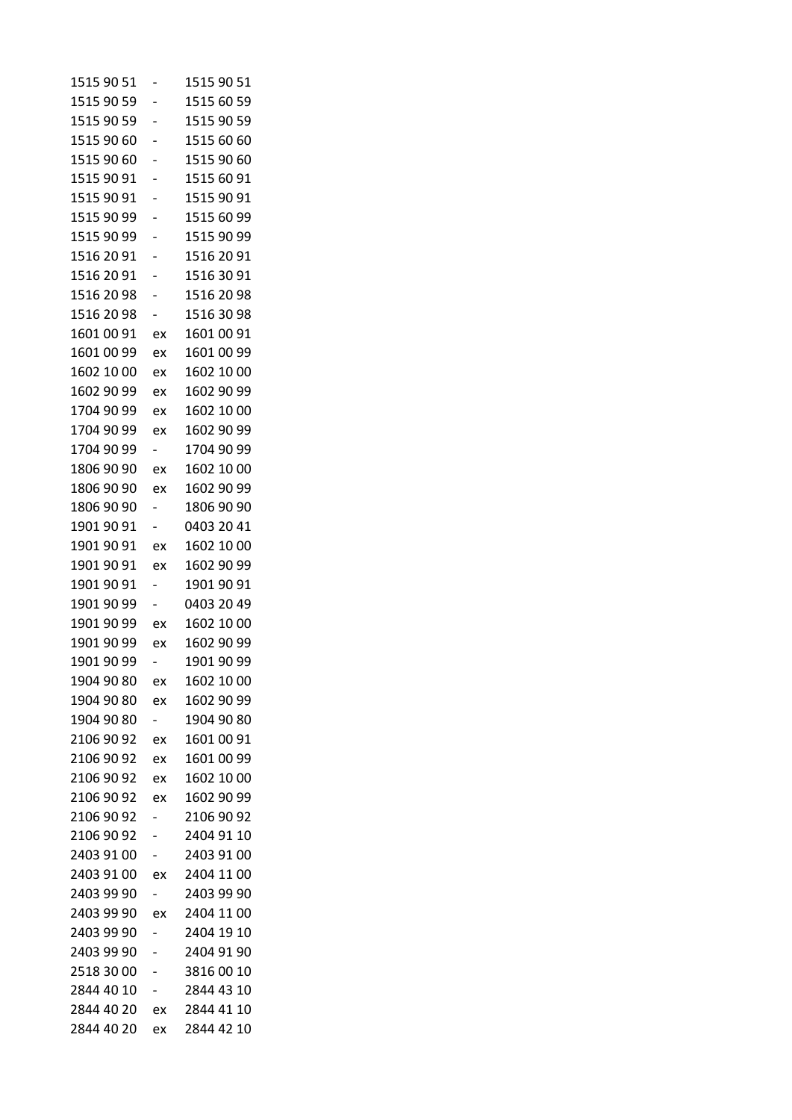| 1515 90 51 |                          | 1515 90 51 |
|------------|--------------------------|------------|
| 1515 90 59 |                          | 1515 60 59 |
| 1515 90 59 |                          | 1515 90 59 |
| 1515 90 60 |                          | 1515 60 60 |
| 1515 90 60 |                          | 1515 90 60 |
| 1515 90 91 |                          | 1515 60 91 |
| 1515 90 91 |                          | 1515 90 91 |
| 1515 90 99 |                          | 1515 60 99 |
| 1515 90 99 |                          | 1515 90 99 |
| 1516 20 91 |                          | 1516 20 91 |
| 1516 20 91 |                          | 1516 30 91 |
| 1516 20 98 |                          | 1516 20 98 |
| 1516 20 98 |                          | 1516 30 98 |
| 1601 00 91 | ex                       | 1601 00 91 |
| 1601 00 99 | ex                       | 1601 00 99 |
| 1602 10 00 | ex                       | 1602 10 00 |
| 1602 90 99 | ex                       | 1602 90 99 |
| 1704 90 99 | ex                       | 1602 10 00 |
| 1704 90 99 | ex                       | 1602 90 99 |
| 1704 90 99 | $\overline{\phantom{0}}$ | 1704 90 99 |
| 1806 90 90 | ex                       | 1602 10 00 |
| 1806 90 90 | ex                       | 1602 90 99 |
| 1806 90 90 |                          | 1806 90 90 |
| 1901 90 91 |                          | 0403 20 41 |
| 1901 90 91 | ex                       | 1602 10 00 |
| 1901 90 91 | ex                       | 1602 90 99 |
| 1901 90 91 |                          | 1901 90 91 |
| 1901 90 99 |                          | 0403 20 49 |
| 1901 90 99 | ex                       | 1602 10 00 |
| 1901 90 99 | ex                       | 1602 90 99 |
| 1901 90 99 |                          | 1901 90 99 |
| 1904 90 80 | ex                       | 1602 10 00 |
| 1904 90 80 | ex                       | 1602 90 99 |
| 1904 90 80 | $\overline{\phantom{0}}$ | 1904 90 80 |
| 2106 90 92 | ex                       | 1601 00 91 |
| 2106 90 92 | ex                       | 1601 00 99 |
| 2106 90 92 | ex                       | 1602 10 00 |
| 2106 90 92 | ex                       | 1602 90 99 |
| 2106 90 92 |                          | 2106 90 92 |
| 2106 90 92 |                          | 2404 91 10 |
| 2403 91 00 | -                        | 2403 91 00 |
| 2403 91 00 | ex                       | 2404 11 00 |
| 2403 99 90 |                          | 2403 99 90 |
| 2403 99 90 | ex                       | 2404 11 00 |
| 2403 99 90 |                          | 2404 19 10 |
| 2403 99 90 |                          | 2404 91 90 |
| 2518 30 00 |                          | 38160010   |
| 2844 40 10 |                          | 2844 43 10 |
| 2844 40 20 | ex                       | 2844 41 10 |
| 2844 40 20 | ex                       | 2844 42 10 |
|            |                          |            |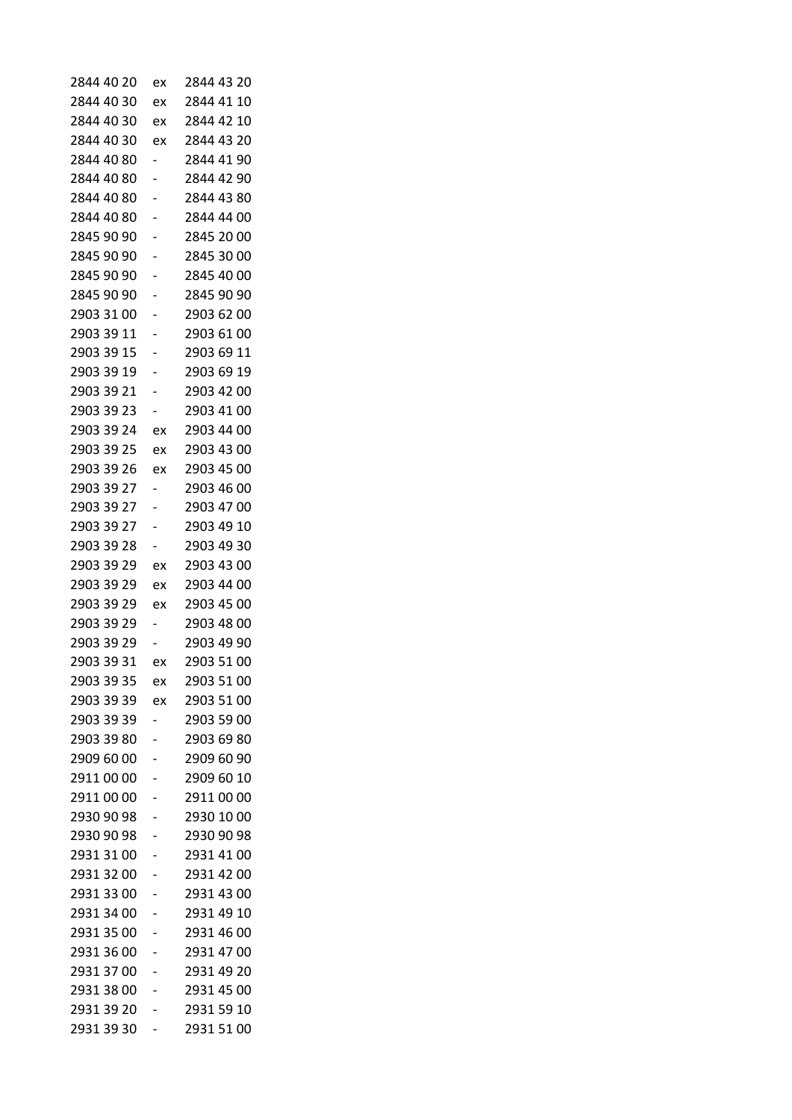| 2844 40 20 | ex | 2844 43 20 |
|------------|----|------------|
| 2844 40 30 | ex | 2844 41 10 |
| 2844 40 30 | ex | 2844 42 10 |
| 2844 40 30 | ex | 2844 43 20 |
| 2844 40 80 |    | 2844 41 90 |
| 2844 40 80 |    | 2844 42 90 |
| 2844 40 80 |    | 2844 43 80 |
| 2844 40 80 |    | 2844 44 00 |
| 2845 90 90 |    | 2845 20 00 |
| 2845 90 90 |    | 2845 30 00 |
| 2845 90 90 |    | 2845 40 00 |
| 2845 90 90 |    | 2845 90 90 |
| 2903 31 00 |    | 2903 62 00 |
| 2903 39 11 |    | 2903 61 00 |
| 2903 39 15 |    | 2903 69 11 |
| 2903 39 19 |    | 2903 69 19 |
| 2903 39 21 |    | 2903 42 00 |
| 2903 39 23 |    | 2903 41 00 |
| 2903 39 24 | ex | 2903 44 00 |
| 2903 39 25 | ex | 2903 43 00 |
| 2903 39 26 | ex | 2903 45 00 |
| 2903 39 27 | -  | 2903 46 00 |
| 2903 39 27 |    | 2903 47 00 |
| 2903 39 27 |    | 2903 49 10 |
| 2903 39 28 |    | 2903 49 30 |
| 2903 39 29 | ex | 2903 43 00 |
| 2903 39 29 | ex | 2903 44 00 |
| 2903 39 29 | ex | 2903 45 00 |
| 2903 39 29 | -  | 2903 48 00 |
| 2903 39 29 |    | 2903 49 90 |
| 2903 39 31 | ex | 2903 51 00 |
| 2903 39 35 | ex | 2903 51 00 |
| 2903 39 39 | ex | 2903 51 00 |
| 2903 39 39 |    | 2903 59 00 |
| 2903 39 80 | -  | 2903 69 80 |
| 2909 60 00 |    | 2909 60 90 |
| 2911 00 00 |    | 2909 60 10 |
| 2911 00 00 |    | 2911 00 00 |
| 2930 90 98 |    | 2930 10 00 |
| 2930 90 98 | -  | 2930 90 98 |
| 2931 31 00 |    | 2931 41 00 |
| 2931 32 00 |    | 2931 42 00 |
| 2931 33 00 |    | 2931 43 00 |
| 2931 34 00 |    | 2931 49 10 |
| 2931 35 00 | -  | 2931 46 00 |
| 2931 36 00 |    | 2931 47 00 |
| 2931 37 00 |    | 2931 49 20 |
| 2931 38 00 |    | 2931 45 00 |
| 2931 39 20 |    | 2931 59 10 |
| 2931 39 30 | -  | 2931 51 00 |
|            |    |            |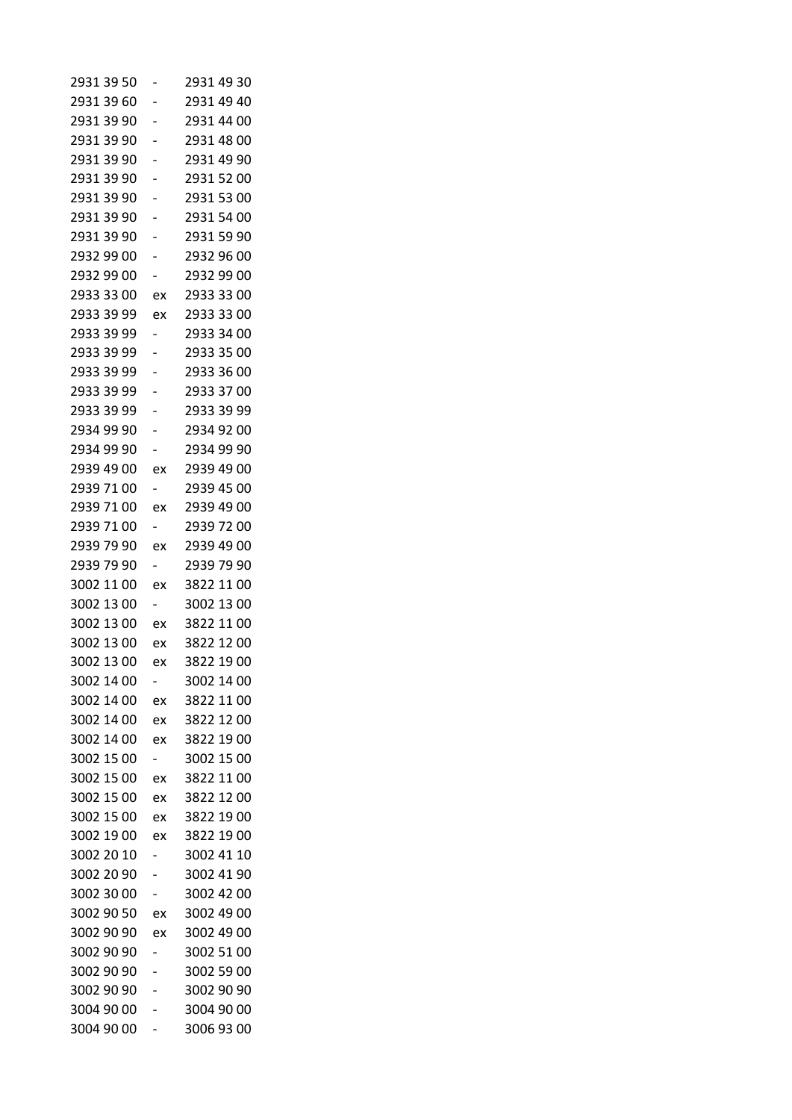| 2931 39 50 |    | 2931 49 30 |
|------------|----|------------|
| 2931 39 60 |    | 2931 49 40 |
| 2931 39 90 |    | 2931 44 00 |
| 2931 39 90 |    | 2931 48 00 |
| 2931 39 90 |    | 2931 49 90 |
| 2931 39 90 |    | 2931 52 00 |
| 2931 39 90 |    | 2931 53 00 |
| 2931 39 90 |    | 2931 54 00 |
| 2931 39 90 |    | 2931 59 90 |
| 2932 99 00 |    | 2932 96 00 |
| 2932 99 00 |    | 2932 99 00 |
| 2933 33 00 | ex | 2933 33 00 |
| 2933 39 99 | ex | 2933 33 00 |
| 2933 39 99 |    | 2933 34 00 |
| 2933 39 99 |    | 2933 35 00 |
| 2933 39 99 |    | 2933 36 00 |
| 2933 39 99 |    | 2933 37 00 |
| 2933 39 99 |    | 2933 39 99 |
| 2934 99 90 |    | 2934 92 00 |
| 2934 99 90 |    | 2934 99 90 |
| 2939 49 00 | ex | 2939 49 00 |
| 2939 71 00 | Ξ. | 2939 45 00 |
| 2939 71 00 | ex | 2939 49 00 |
| 2939 71 00 |    | 2939 72 00 |
| 2939 79 90 | ex | 2939 49 00 |
| 2939 79 90 | Ξ. | 2939 79 90 |
| 3002 11 00 | ex | 3822 11 00 |
| 3002 13 00 |    | 3002 13 00 |
| 3002 13 00 | ex | 3822 11 00 |
| 3002 13 00 | ex | 3822 12 00 |
| 3002 13 00 | ex | 3822 19 00 |
| 3002 14 00 |    | 3002 14 00 |
| 3002 14 00 | ex | 3822 11 00 |
| 3002 14 00 | ex | 3822 12 00 |
| 3002 14 00 | ex | 3822 19 00 |
| 3002 15 00 |    | 3002 15 00 |
| 3002 15 00 | ex | 3822 11 00 |
| 3002 15 00 | ex | 3822 12 00 |
| 3002 15 00 | ex | 3822 19 00 |
| 3002 19 00 | ex | 3822 19 00 |
| 3002 20 10 |    | 3002 41 10 |
| 3002 20 90 |    | 3002 41 90 |
| 3002 30 00 |    | 3002 42 00 |
| 3002 90 50 | ex | 3002 49 00 |
| 3002 90 90 | ex | 3002 49 00 |
| 3002 90 90 |    | 3002 51 00 |
| 3002 90 90 |    | 3002 59 00 |
| 3002 90 90 |    | 3002 90 90 |
| 3004 90 00 |    | 3004 90 00 |
| 3004 90 00 |    | 3006 93 00 |
|            |    |            |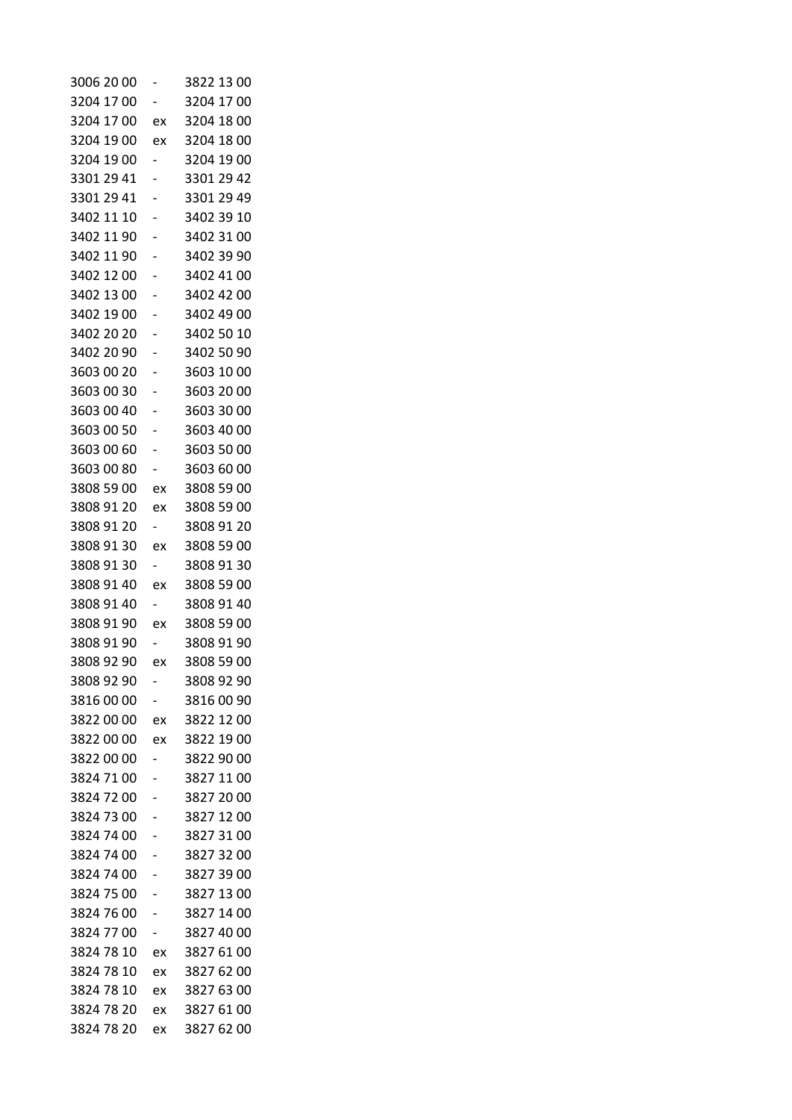| 3006 20 00 |                          | 3822 13 00 |
|------------|--------------------------|------------|
| 3204 17 00 |                          | 3204 17 00 |
| 3204 17 00 | ex                       | 3204 18 00 |
| 3204 19 00 | ex                       | 3204 18 00 |
| 3204 19 00 |                          | 3204 19 00 |
| 3301 29 41 |                          | 3301 29 42 |
| 3301 29 41 |                          | 3301 29 49 |
| 3402 11 10 |                          | 3402 39 10 |
| 3402 11 90 |                          | 3402 31 00 |
| 3402 11 90 |                          | 3402 39 90 |
| 3402 12 00 |                          | 3402 41 00 |
| 3402 13 00 |                          | 3402 42 00 |
| 3402 19 00 |                          | 3402 49 00 |
| 3402 20 20 |                          | 3402 50 10 |
| 3402 20 90 |                          | 3402 50 90 |
| 3603 00 20 |                          | 3603 10 00 |
| 3603 00 30 |                          | 3603 20 00 |
| 3603 00 40 |                          | 3603 30 00 |
| 3603 00 50 |                          | 3603 40 00 |
| 3603 00 60 |                          | 3603 50 00 |
| 3603 00 80 |                          | 3603 60 00 |
| 3808 59 00 | ex                       | 3808 59 00 |
| 3808 91 20 | ex                       | 3808 59 00 |
| 3808 91 20 |                          | 3808 91 20 |
| 3808 91 30 | ex                       | 3808 59 00 |
| 3808 91 30 | $\overline{\phantom{0}}$ | 3808 91 30 |
| 3808 91 40 | ex                       | 3808 59 00 |
| 3808 91 40 |                          | 3808 91 40 |
| 3808 91 90 | ex                       | 3808 59 00 |
| 3808 91 90 |                          | 3808 91 90 |
| 3808 92 90 | ex                       | 3808 59 00 |
| 3808 92 90 |                          | 3808 92 90 |
| 3816 00 00 | -                        | 3816 00 90 |
| 3822 00 00 | ex                       | 3822 12 00 |
| 3822 00 00 | ex                       | 3822 19 00 |
| 3822 00 00 | -                        | 3822 90 00 |
| 3824 71 00 |                          | 3827 11 00 |
| 3824 72 00 |                          | 3827 20 00 |
| 3824 73 00 |                          | 3827 12 00 |
| 3824 74 00 |                          | 3827 31 00 |
| 3824 74 00 | -                        | 3827 32 00 |
| 3824 74 00 |                          | 3827 39 00 |
| 3824 75 00 |                          | 3827 13 00 |
| 3824 76 00 |                          | 3827 14 00 |
| 3824 77 00 | -                        | 3827 40 00 |
| 3824 78 10 | ex                       | 3827 61 00 |
| 3824 78 10 | ex                       | 3827 62 00 |
| 3824 78 10 | ex                       | 3827 63 00 |
| 3824 78 20 | ex                       | 3827 61 00 |
| 3824 78 20 | ex                       | 3827 62 00 |
|            |                          |            |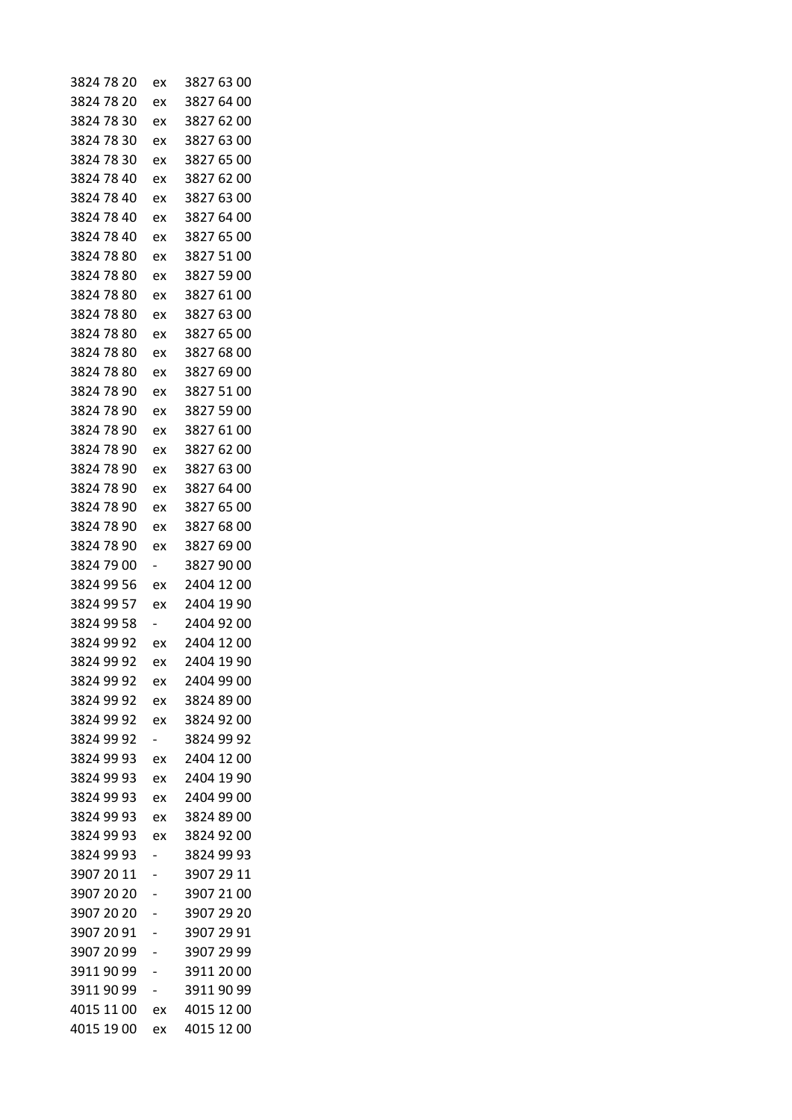| 3824 78 20 | ex                       | 3827 63 00 |
|------------|--------------------------|------------|
| 3824 78 20 | ex                       | 3827 64 00 |
| 3824 78 30 | ex                       | 3827 62 00 |
| 3824 78 30 | ex                       | 3827 63 00 |
| 3824 78 30 | ex                       | 3827 65 00 |
| 3824 78 40 | ex                       | 3827 62 00 |
| 3824 78 40 | ex                       | 3827 63 00 |
| 3824 78 40 | ex                       | 3827 64 00 |
| 3824 78 40 | ex                       | 3827 65 00 |
| 3824 78 80 | ex                       | 3827 51 00 |
| 3824 78 80 | ex                       | 3827 59 00 |
| 3824 78 80 | ex                       | 3827 61 00 |
| 3824 78 80 | ex                       | 3827 63 00 |
| 3824 78 80 | ex                       | 3827 65 00 |
| 3824 78 80 | ex                       | 3827 68 00 |
| 3824 78 80 | ex                       | 3827 69 00 |
| 3824 78 90 | ex                       | 3827 51 00 |
| 3824 78 90 | ex                       | 3827 59 00 |
| 3824 78 90 | ex                       | 3827 61 00 |
| 3824 78 90 | ex                       | 3827 62 00 |
| 3824 78 90 | ex                       | 3827 63 00 |
| 3824 78 90 | ex                       | 3827 64 00 |
| 3824 78 90 | ex                       | 3827 65 00 |
| 3824 78 90 | ex                       | 3827 68 00 |
| 3824 78 90 | ex                       | 3827 69 00 |
| 3824 79 00 | $\overline{\phantom{0}}$ | 3827 90 00 |
| 3824 99 56 | ex                       | 2404 12 00 |
| 3824 99 57 | ex                       | 2404 19 90 |
| 3824 99 58 |                          | 2404 92 00 |
| 3824 99 92 | ex                       | 2404 12 00 |
| 3824 99 92 | ex                       | 2404 19 90 |
| 3824 99 92 | ex                       | 2404 99 00 |
| 3824 99 92 | ex                       | 3824 89 00 |
| 3824 99 92 | ex                       | 3824 92 00 |
| 3824 99 92 |                          | 3824 99 92 |
| 3824 99 93 | ex                       | 2404 12 00 |
| 3824 99 93 | ex                       | 2404 19 90 |
| 3824 99 93 | ex                       | 2404 99 00 |
| 3824 99 93 | ex                       | 3824 89 00 |
| 3824 99 93 | ex                       | 3824 92 00 |
| 3824 99 93 | -                        | 3824 99 93 |
| 3907 20 11 |                          | 3907 29 11 |
| 3907 20 20 |                          | 3907 21 00 |
| 3907 20 20 |                          | 3907 29 20 |
| 3907 20 91 | -                        | 3907 29 91 |
| 3907 20 99 |                          | 3907 29 99 |
| 3911 90 99 | -                        | 3911 20 00 |
| 39119099   |                          | 3911 90 99 |
| 4015 11 00 | ex                       | 4015 12 00 |
| 4015 19 00 | ex                       | 4015 12 00 |
|            |                          |            |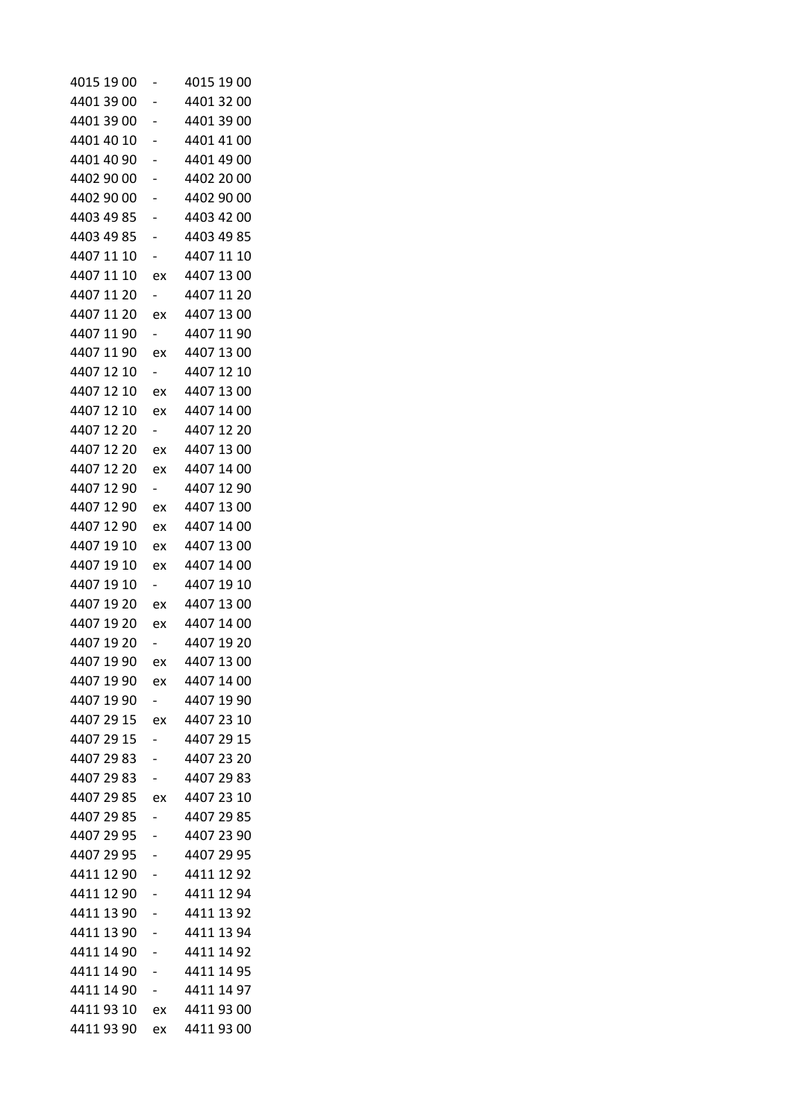| 4015 19 00 |                          | 4015 19 00 |
|------------|--------------------------|------------|
| 4401 39 00 |                          | 4401 32 00 |
| 4401 39 00 | -                        | 4401 39 00 |
| 4401 40 10 |                          | 4401 41 00 |
| 4401 40 90 |                          | 4401 49 00 |
| 4402 90 00 |                          | 4402 20 00 |
| 4402 90 00 |                          | 4402 90 00 |
| 4403 49 85 |                          | 4403 42 00 |
| 4403 49 85 | -                        | 4403 49 85 |
| 4407 11 10 | -                        | 4407 11 10 |
| 4407 11 10 | ex                       | 4407 13 00 |
| 4407 11 20 | $\overline{\phantom{0}}$ | 4407 11 20 |
| 4407 11 20 | ex                       | 4407 13 00 |
| 4407 11 90 | $\overline{\phantom{0}}$ | 4407 11 90 |
| 4407 11 90 | ex                       | 4407 13 00 |
| 4407 12 10 | $\overline{\phantom{0}}$ | 4407 12 10 |
| 4407 12 10 | ex                       | 4407 13 00 |
| 4407 12 10 | ex                       | 4407 14 00 |
| 4407 12 20 | $\overline{\phantom{0}}$ | 4407 12 20 |
| 4407 12 20 | ex                       | 4407 13 00 |
| 4407 12 20 | ex                       | 4407 14 00 |
| 4407 12 90 | $\overline{\phantom{0}}$ | 4407 12 90 |
| 4407 12 90 | ex                       | 4407 13 00 |
| 4407 12 90 | ex                       | 4407 14 00 |
| 4407 19 10 | ex                       | 4407 13 00 |
| 4407 19 10 | ex                       | 4407 14 00 |
| 4407 19 10 | $\overline{\phantom{0}}$ | 4407 19 10 |
| 4407 19 20 | ex                       | 4407 13 00 |
| 4407 19 20 | ex                       | 4407 14 00 |
| 4407 19 20 |                          | 4407 19 20 |
| 4407 19 90 | ex                       | 4407 13 00 |
| 4407 19 90 | ex                       | 4407 14 00 |
| 4407 19 90 |                          | 4407 19 90 |
| 4407 29 15 | ex                       | 4407 23 10 |
| 4407 29 15 |                          | 4407 29 15 |
| 4407 29 83 |                          | 4407 23 20 |
| 4407 29 83 |                          | 4407 29 83 |
| 4407 29 85 | ex                       | 4407 23 10 |
| 4407 29 85 |                          | 4407 29 85 |
| 4407 29 95 |                          | 4407 23 90 |
| 4407 29 95 | -                        | 4407 29 95 |
| 4411 12 90 |                          | 4411 12 92 |
| 4411 12 90 |                          | 4411 12 94 |
| 4411 13 90 |                          | 4411 13 92 |
| 4411 13 90 |                          | 4411 13 94 |
| 4411 14 90 |                          | 4411 14 92 |
| 4411 14 90 | -                        | 4411 14 95 |
| 4411 14 90 | -                        | 4411 14 97 |
| 44119310   | ex                       | 44119300   |
| 44119390   | ex                       | 44119300   |
|            |                          |            |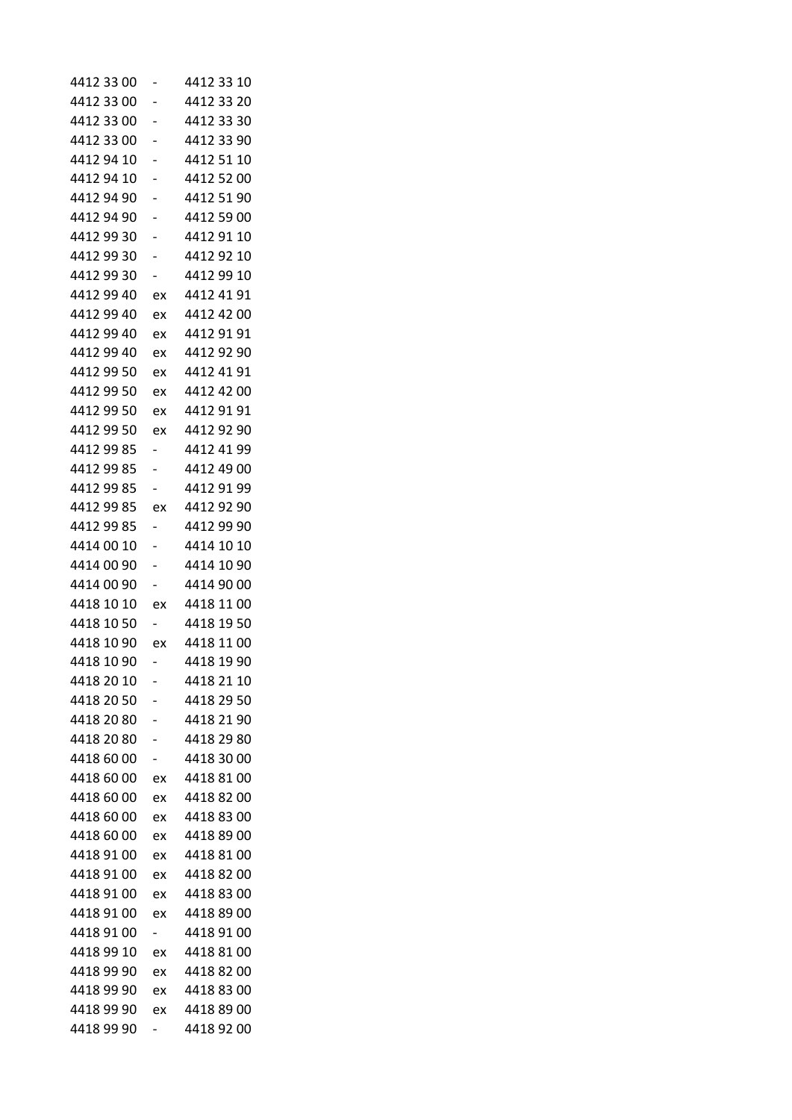| 4412 33 00 |                                | 4412 33 10 |
|------------|--------------------------------|------------|
| 4412 33 00 |                                | 4412 33 20 |
| 4412 33 00 | -                              | 4412 33 30 |
| 4412 33 00 |                                | 4412 33 90 |
| 4412 94 10 |                                | 4412 51 10 |
| 4412 94 10 |                                | 4412 52 00 |
| 4412 94 90 |                                | 4412 51 90 |
| 4412 94 90 |                                | 4412 59 00 |
| 4412 99 30 | -                              | 4412 91 10 |
| 4412 99 30 |                                | 4412 92 10 |
| 4412 99 30 |                                | 4412 99 10 |
| 4412 99 40 | ex                             | 4412 41 91 |
| 4412 99 40 | ex                             | 4412 42 00 |
| 4412 99 40 | ex                             | 4412 91 91 |
| 4412 99 40 | ex                             | 4412 92 90 |
| 4412 99 50 | ex                             | 4412 41 91 |
| 4412 99 50 | ex                             | 4412 42 00 |
| 4412 99 50 | ex                             | 4412 91 91 |
| 4412 99 50 | ex                             | 4412 92 90 |
| 4412 99 85 | -                              | 4412 41 99 |
| 4412 99 85 |                                | 4412 49 00 |
| 4412 99 85 | -                              | 4412 91 99 |
| 4412 99 85 | ex                             | 4412 92 90 |
| 4412 99 85 |                                | 4412 99 90 |
| 4414 00 10 |                                | 4414 10 10 |
| 4414 00 90 | -                              | 4414 10 90 |
| 4414 00 90 | $\overline{\phantom{0}}$       | 4414 90 00 |
| 4418 10 10 | ex                             | 4418 11 00 |
| 4418 10 50 | Ξ.                             | 4418 19 50 |
| 4418 10 90 | ex                             | 4418 11 00 |
| 4418 10 90 |                                | 4418 19 90 |
| 4418 20 10 |                                | 4418 21 10 |
| 4418 20 50 |                                | 4418 29 50 |
| 4418 20 80 |                                | 4418 21 90 |
| 4418 20 80 | -                              | 4418 29 80 |
| 4418 60 00 | -                              | 4418 30 00 |
| 4418 60 00 | ex                             | 4418 81 00 |
| 4418 60 00 | ex                             | 4418 82 00 |
| 4418 60 00 | ex                             | 4418 83 00 |
| 4418 60 00 | ex                             | 4418 89 00 |
| 4418 91 00 | ex                             | 4418 81 00 |
| 4418 91 00 | ex                             | 44188200   |
| 4418 91 00 | ex                             | 4418 83 00 |
| 4418 91 00 |                                | 4418 89 00 |
| 4418 91 00 | ex<br>$\overline{\phantom{0}}$ | 4418 91 00 |
| 4418 99 10 |                                | 4418 81 00 |
| 4418 99 90 | ex<br>ex                       | 4418 82 00 |
| 4418 99 90 |                                | 4418 83 00 |
| 4418 99 90 | ex                             | 4418 89 00 |
| 4418 99 90 | ex                             | 4418 92 00 |
|            | -                              |            |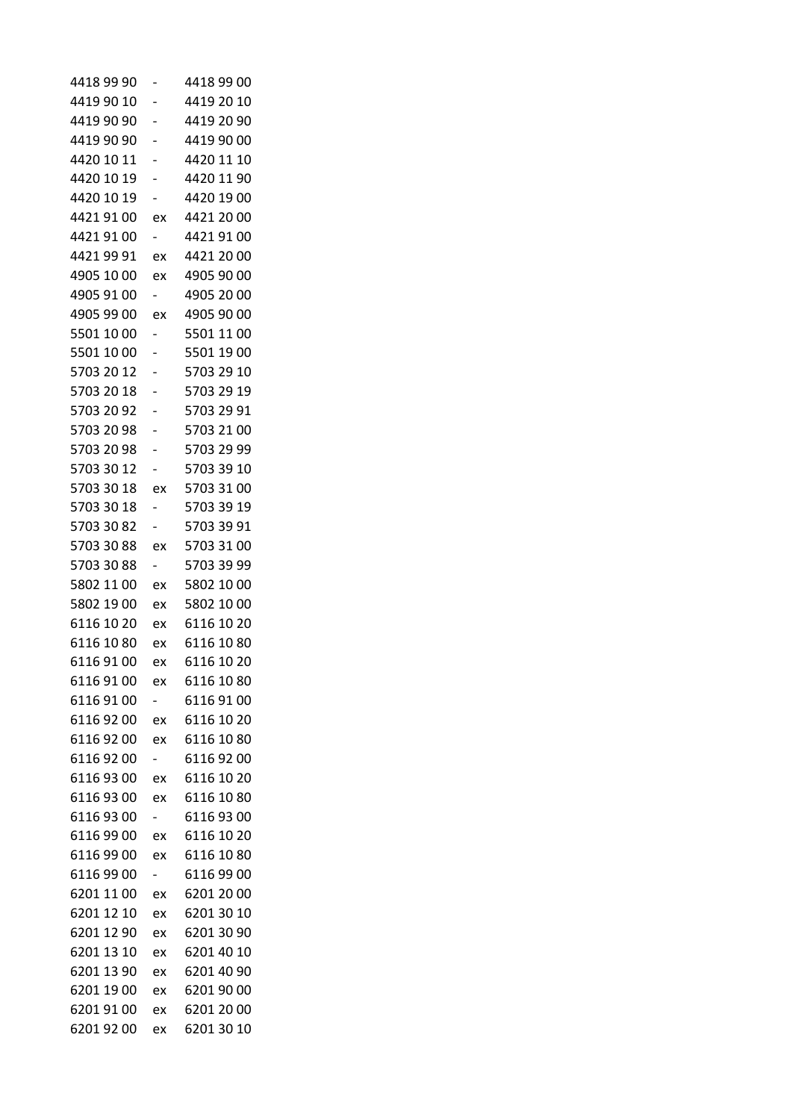| 4418 99 90 |                          | 4418 99 00 |
|------------|--------------------------|------------|
| 4419 90 10 | -                        | 4419 20 10 |
| 4419 90 90 |                          | 4419 20 90 |
| 4419 90 90 |                          | 4419 90 00 |
| 4420 10 11 |                          | 4420 11 10 |
| 4420 10 19 |                          | 4420 11 90 |
| 4420 10 19 |                          | 4420 19 00 |
| 4421 91 00 | ex                       | 4421 20 00 |
| 4421 91 00 |                          | 4421 91 00 |
| 4421 99 91 | ex                       | 4421 20 00 |
| 4905 10 00 | ex                       | 4905 90 00 |
| 4905 91 00 | $\overline{\phantom{0}}$ | 4905 20 00 |
| 4905 99 00 | ex                       | 4905 90 00 |
| 5501 10 00 |                          | 5501 11 00 |
| 5501 10 00 | -                        | 5501 19 00 |
| 5703 20 12 |                          | 5703 29 10 |
| 5703 20 18 |                          | 5703 29 19 |
| 5703 20 92 |                          | 5703 29 91 |
| 5703 20 98 |                          | 5703 21 00 |
| 5703 20 98 |                          | 5703 29 99 |
| 5703 30 12 |                          | 5703 39 10 |
| 5703 30 18 | ex                       | 5703 31 00 |
| 5703 30 18 |                          | 5703 39 19 |
| 5703 30 82 |                          | 5703 39 91 |
| 5703 30 88 | ex                       | 5703 31 00 |
| 5703 30 88 | $\overline{\phantom{0}}$ | 5703 39 99 |
| 5802 11 00 | ex                       | 5802 10 00 |
| 5802 19 00 | ex                       | 5802 10 00 |
| 6116 10 20 | ex                       | 6116 10 20 |
| 6116 10 80 | ex                       | 6116 10 80 |
| 61169100   | ex                       | 6116 10 20 |
| 61169100   | ex                       | 6116 10 80 |
| 61169100   |                          | 61169100   |
| 6116 92 00 | ex                       | 6116 10 20 |
| 6116 92 00 | ex                       | 6116 10 80 |
| 61169200   |                          | 61169200   |
| 6116 93 00 | ex                       | 6116 10 20 |
| 61169300   | ex                       | 6116 10 80 |
| 6116 93 00 |                          | 6116 93 00 |
| 61169900   | ex                       | 6116 10 20 |
| 6116 99 00 | ex                       | 6116 10 80 |
| 6116 99 00 |                          | 6116 99 00 |
| 6201 11 00 | ex                       | 6201 20 00 |
| 6201 12 10 | ex                       | 6201 30 10 |
| 6201 12 90 | ex                       | 6201 30 90 |
| 6201 13 10 | ex                       | 6201 40 10 |
| 6201 13 90 | ex                       | 6201 40 90 |
| 6201 19 00 | ex                       | 6201 90 00 |
| 6201 91 00 | ex                       | 6201 20 00 |
| 6201 92 00 | ex                       | 6201 30 10 |
|            |                          |            |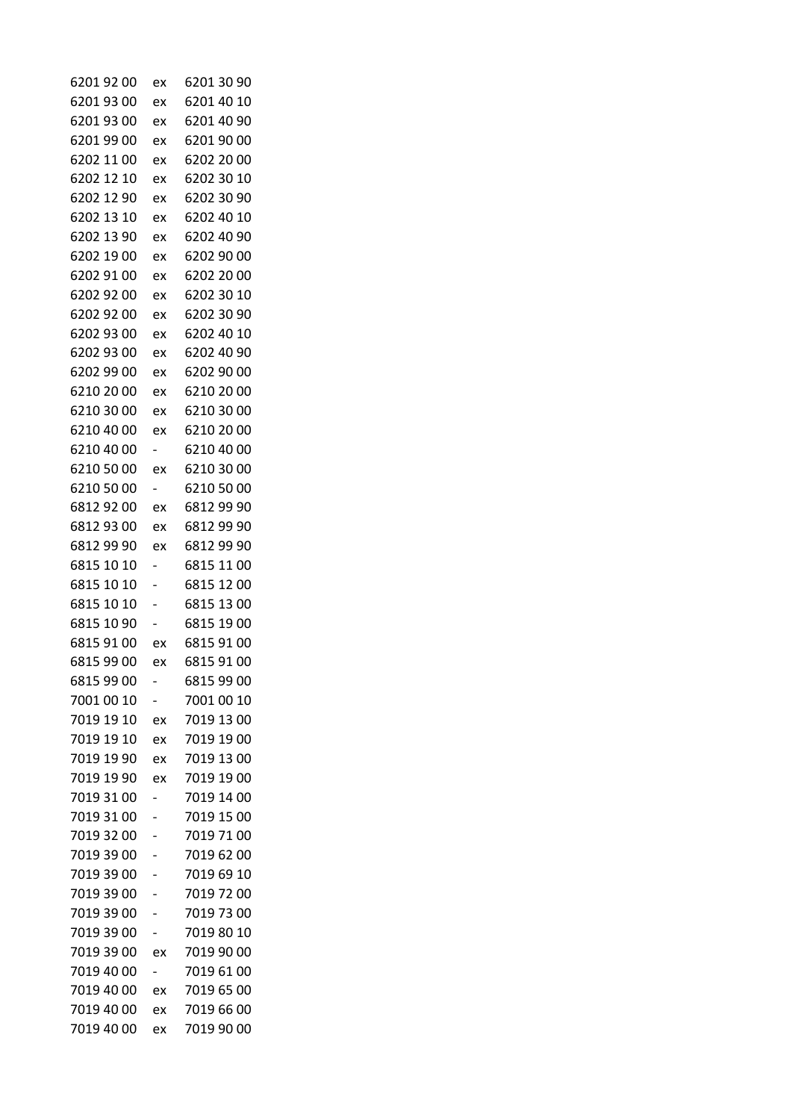| 6201 92 00 | ex                       | 6201 30 90 |
|------------|--------------------------|------------|
| 6201 93 00 | ex                       | 6201 40 10 |
| 62019300   | ex                       | 6201 40 90 |
| 6201 99 00 | ex                       | 6201 90 00 |
| 6202 11 00 | ex                       | 6202 20 00 |
| 6202 12 10 | ex                       | 6202 30 10 |
| 6202 12 90 | ex                       | 6202 30 90 |
| 6202 13 10 | ex                       | 6202 40 10 |
| 6202 13 90 | ex                       | 6202 40 90 |
| 6202 19 00 | ex                       | 6202 90 00 |
| 6202 91 00 | ex                       | 6202 20 00 |
| 6202 92 00 | ex                       | 6202 30 10 |
| 6202 92 00 | ex                       | 6202 30 90 |
| 6202 93 00 | ex                       | 6202 40 10 |
| 6202 93 00 | ex                       | 6202 40 90 |
| 6202 99 00 | ex                       | 6202 90 00 |
| 6210 20 00 | ex                       | 6210 20 00 |
| 6210 30 00 | ex                       | 6210 30 00 |
| 6210 40 00 | ex                       | 6210 20 00 |
| 6210 40 00 | $\overline{\phantom{0}}$ | 6210 40 00 |
| 6210 50 00 | ex                       | 6210 30 00 |
| 6210 50 00 | $\overline{\phantom{0}}$ | 6210 50 00 |
| 6812 92 00 | ex                       | 6812 99 90 |
| 6812 93 00 | ex                       | 6812 99 90 |
| 6812 99 90 | ex                       | 6812 99 90 |
| 6815 10 10 | -                        | 6815 11 00 |
| 6815 10 10 |                          | 6815 12 00 |
| 6815 10 10 |                          | 6815 13 00 |
| 6815 10 90 |                          | 6815 19 00 |
| 6815 91 00 | ex                       | 6815 91 00 |
| 6815 99 00 | ex                       | 6815 91 00 |
| 6815 99 00 |                          | 6815 99 00 |
| 7001 00 10 |                          | 7001 00 10 |
| 7019 19 10 | ex                       | 7019 13 00 |
| 7019 19 10 | ex                       | 7019 19 00 |
| 7019 19 90 | ex                       | 7019 13 00 |
| 7019 19 90 | ex                       | 7019 19 00 |
| 7019 31 00 |                          | 7019 14 00 |
| 7019 31 00 |                          | 7019 15 00 |
| 7019 32 00 |                          | 7019 71 00 |
| 7019 39 00 |                          | 7019 62 00 |
| 7019 39 00 |                          | 7019 69 10 |
| 7019 39 00 |                          | 7019 72 00 |
| 7019 39 00 |                          | 7019 73 00 |
| 7019 39 00 | -                        | 7019 80 10 |
| 7019 39 00 | ex                       | 7019 90 00 |
| 7019 40 00 | -                        | 7019 61 00 |
| 7019 40 00 | ex                       | 7019 65 00 |
| 7019 40 00 | ex                       | 7019 66 00 |
| 7019 40 00 | ex                       | 7019 90 00 |
|            |                          |            |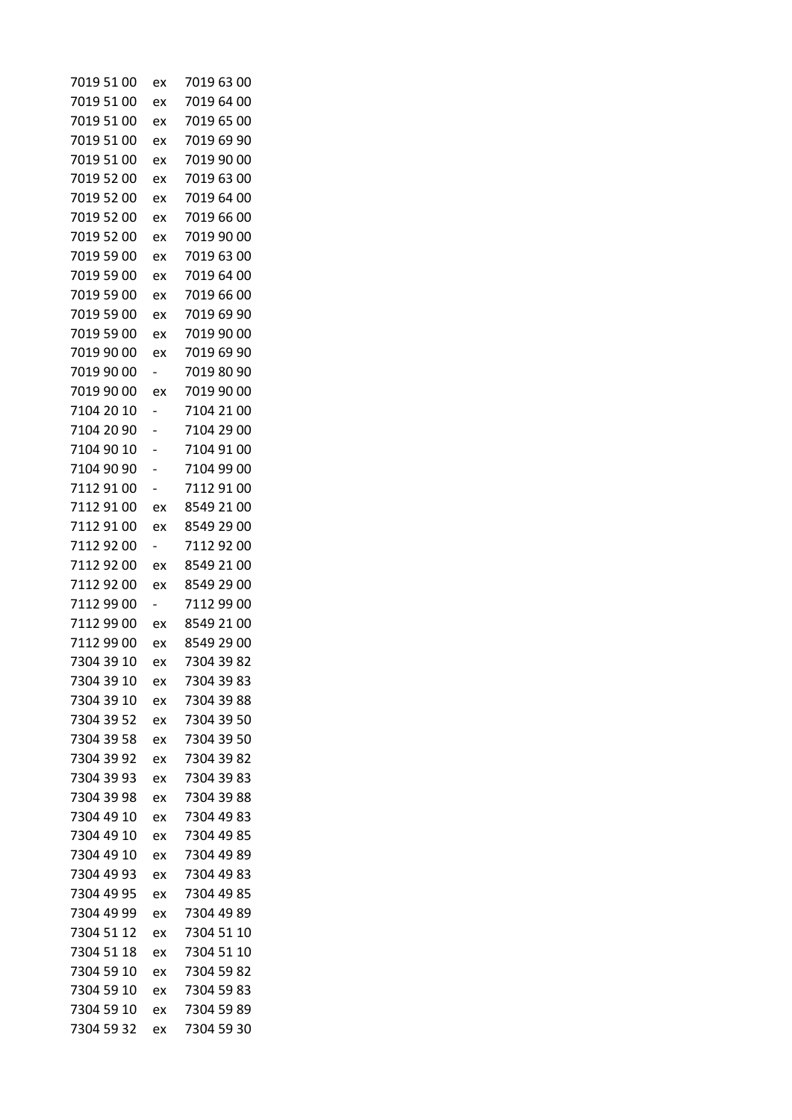| 7019 51 00               | ex | 7019 63 00               |
|--------------------------|----|--------------------------|
| 7019 51 00               | ex | 7019 64 00               |
| 7019 51 00               | ex | 7019 65 00               |
| 7019 51 00               | ex | 7019 69 90               |
| 7019 51 00               | ex | 7019 90 00               |
| 7019 52 00               | ex | 7019 63 00               |
| 7019 52 00               | ex | 7019 64 00               |
| 7019 52 00               | ex | 7019 66 00               |
| 7019 52 00               | ex | 7019 90 00               |
| 7019 59 00               | ex | 7019 63 00               |
| 7019 59 00               | ex | 7019 64 00               |
| 7019 59 00               | ex | 7019 66 00               |
| 7019 59 00               | ex | 7019 69 90               |
| 7019 59 00               | ex | 7019 90 00               |
| 7019 90 00               | ex | 7019 69 90               |
| 7019 90 00               | -  | 7019 80 90               |
| 7019 90 00               | ex | 7019 90 00               |
| 7104 20 10               |    | 7104 21 00               |
| 7104 20 90               |    | 7104 29 00               |
| 7104 90 10               |    | 7104 91 00               |
| 7104 90 90               |    | 7104 99 00               |
| 7112 91 00               | -  | 7112 91 00               |
| 7112 91 00               | ex | 8549 21 00               |
| 7112 91 00               | ex | 8549 29 00               |
| 7112 92 00               | -  | 7112 92 00               |
| 7112 92 00               | ex | 8549 21 00               |
| 7112 92 00               | ex | 8549 29 00               |
| 7112 99 00               | Ξ. | 7112 99 00               |
| 7112 99 00               | ex | 8549 21 00               |
| 7112 99 00               | ex | 8549 29 00               |
| 7304 39 10               | ex | 7304 39 82               |
| 7304 39 10               | ex | 7304 39 83               |
| 7304 39 10               | ex | 7304 39 88               |
| 7304 39 52               | ex | 7304 39 50               |
| 7304 39 58               | ex | 7304 39 50               |
| 7304 39 92               | ex | 7304 39 82               |
| 7304 39 93               | ex | 7304 39 83               |
| 7304 39 98               | ex | 7304 39 88               |
| 7304 49 10               | ex | 7304 49 83               |
| 7304 49 10               | ex | 7304 49 85               |
| 7304 49 10               | ex | 7304 49 89               |
| 7304 49 93               | ex | 7304 49 83               |
| 7304 49 95               | ex | 7304 49 85               |
| 7304 49 99               | ex | 7304 49 89               |
| 7304 51 12               |    | 7304 51 10               |
|                          | ex |                          |
| 7304 51 18               | ex | 7304 51 10               |
| 7304 59 10<br>7304 59 10 | ex | 7304 59 82<br>7304 59 83 |
|                          | ex | 7304 59 89               |
| 7304 59 10               | ex |                          |
| 7304 59 32               | ex | 7304 59 30               |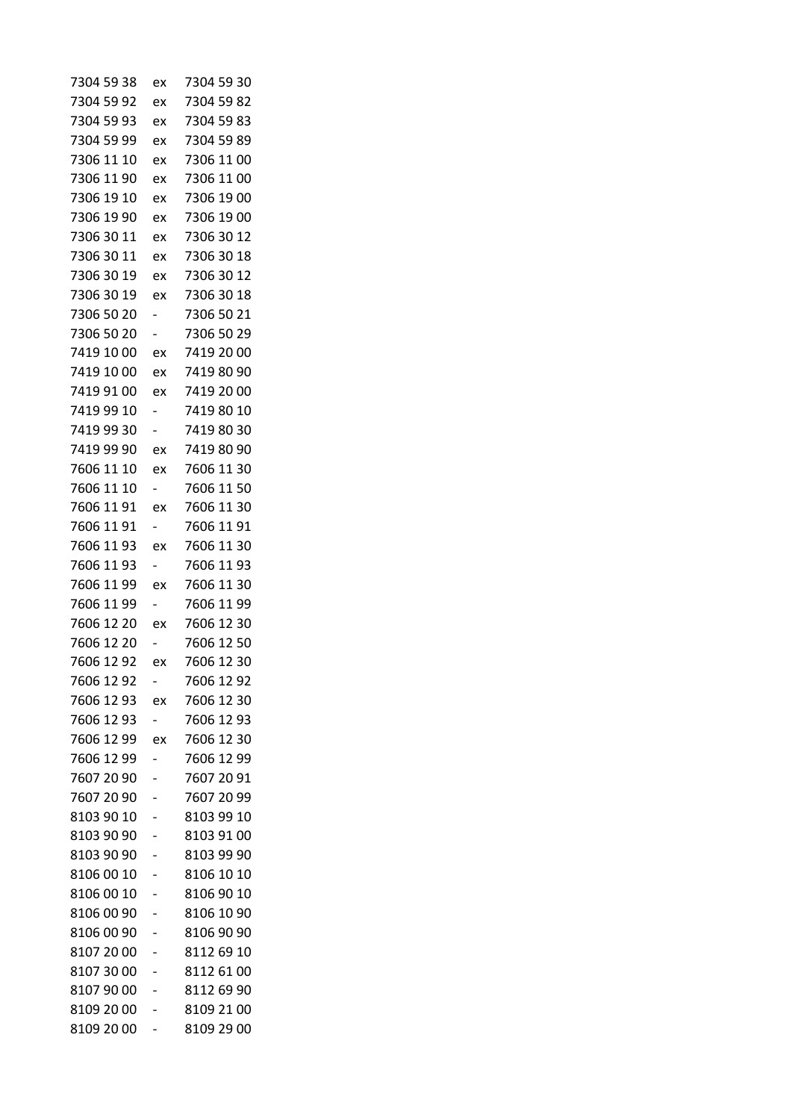| 7304 59 38 | ex                       | 7304 59 30 |
|------------|--------------------------|------------|
| 7304 59 92 | ex                       | 7304 59 82 |
| 7304 59 93 | ex                       | 7304 59 83 |
| 7304 59 99 | ex                       | 7304 59 89 |
| 7306 11 10 | ex                       | 7306 11 00 |
| 7306 11 90 | ex                       | 7306 11 00 |
| 7306 19 10 | ex                       | 7306 19 00 |
| 7306 19 90 | ex                       | 7306 19 00 |
| 7306 30 11 | ex                       | 7306 30 12 |
| 7306 30 11 | ex                       | 7306 30 18 |
| 7306 30 19 | ex                       | 7306 30 12 |
| 7306 30 19 | ex                       | 7306 30 18 |
| 7306 50 20 |                          | 7306 50 21 |
| 7306 50 20 |                          | 7306 50 29 |
| 7419 10 00 | ex                       | 7419 20 00 |
| 7419 10 00 | ex                       | 7419 80 90 |
| 7419 91 00 | ex                       | 7419 20 00 |
| 7419 99 10 |                          | 7419 80 10 |
| 7419 99 30 | $\overline{\phantom{0}}$ | 7419 80 30 |
| 7419 99 90 | ex                       | 7419 80 90 |
| 7606 11 10 | ex                       | 7606 11 30 |
| 7606 11 10 | Ξ.                       | 7606 11 50 |
| 7606 11 91 | ex                       | 7606 11 30 |
| 7606 11 91 |                          | 7606 11 91 |
| 7606 11 93 | ex                       | 7606 11 30 |
| 7606 11 93 | Ξ.                       | 7606 11 93 |
| 7606 11 99 | ex                       | 7606 11 30 |
| 7606 11 99 |                          | 7606 11 99 |
| 7606 12 20 | ex                       | 7606 12 30 |
| 7606 12 20 |                          | 7606 12 50 |
| 7606 12 92 | ex                       | 7606 12 30 |
| 7606 12 92 |                          | 7606 12 92 |
| 7606 12 93 | ex                       | 7606 12 30 |
| 7606 12 93 | $\overline{\phantom{0}}$ | 7606 12 93 |
| 7606 12 99 | ex                       | 7606 12 30 |
| 7606 12 99 |                          | 7606 12 99 |
| 7607 20 90 |                          | 7607 20 91 |
| 7607 20 90 |                          | 7607 20 99 |
| 8103 90 10 |                          | 8103 99 10 |
| 8103 90 90 |                          | 8103 91 00 |
| 8103 90 90 |                          | 8103 99 90 |
| 8106 00 10 |                          | 8106 10 10 |
| 8106 00 10 |                          | 8106 90 10 |
| 8106 00 90 |                          | 8106 10 90 |
| 8106 00 90 |                          | 8106 90 90 |
| 8107 20 00 |                          | 8112 69 10 |
| 8107 30 00 |                          | 8112 61 00 |
| 8107 90 00 |                          | 8112 69 90 |
| 8109 20 00 |                          | 8109 21 00 |
| 8109 20 00 |                          | 8109 29 00 |
|            |                          |            |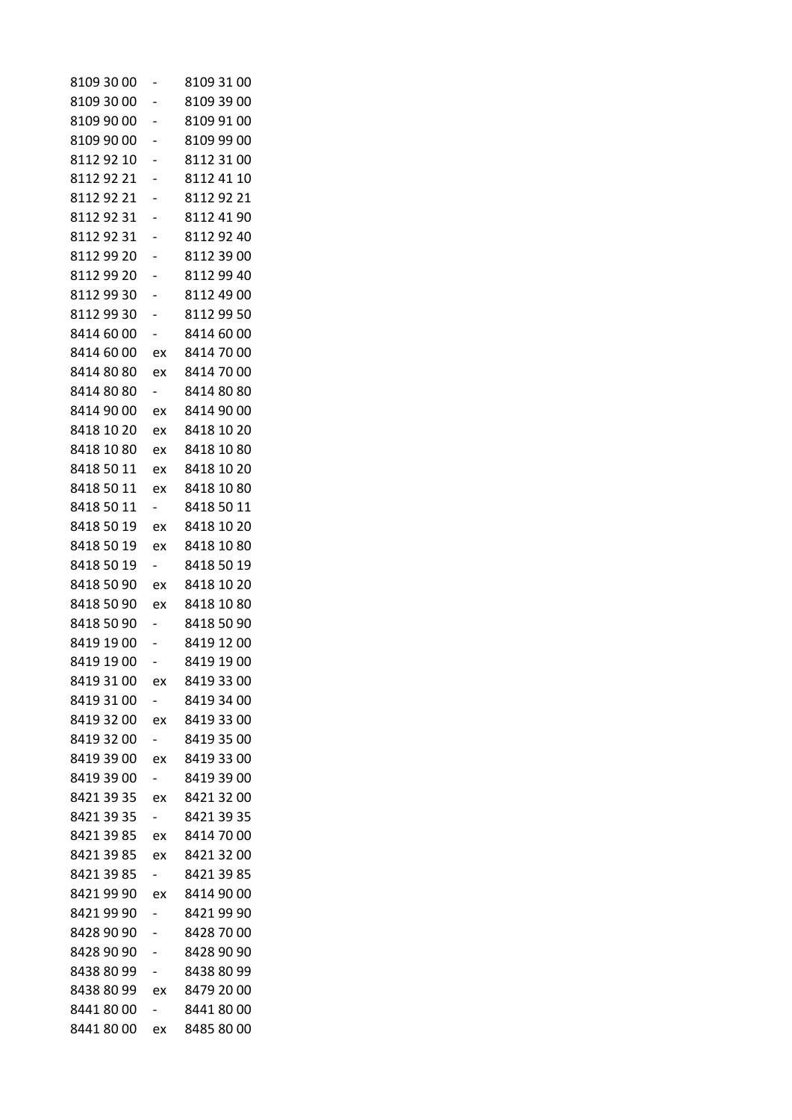| 8109 30 00 |                          | 8109 31 00 |
|------------|--------------------------|------------|
| 8109 30 00 |                          | 8109 39 00 |
| 8109 90 00 |                          | 8109 91 00 |
| 8109 90 00 |                          | 8109 99 00 |
| 8112 92 10 |                          | 8112 31 00 |
| 81129221   |                          | 8112 41 10 |
| 81129221   |                          | 8112 92 21 |
| 8112 92 31 |                          | 8112 41 90 |
| 81129231   |                          | 81129240   |
| 8112 99 20 |                          | 8112 39 00 |
| 8112 99 20 |                          | 8112 99 40 |
| 8112 99 30 |                          | 8112 49 00 |
| 8112 99 30 |                          | 8112 99 50 |
| 8414 60 00 |                          | 8414 60 00 |
| 8414 60 00 | ex                       | 8414 70 00 |
| 8414 80 80 | ex                       | 8414 70 00 |
| 8414 80 80 | $\overline{\phantom{0}}$ | 8414 80 80 |
| 8414 90 00 | ex                       | 8414 90 00 |
| 8418 10 20 | ex                       | 8418 10 20 |
| 8418 10 80 | ex                       | 8418 10 80 |
| 8418 50 11 | ex                       | 8418 10 20 |
| 8418 50 11 | ex                       | 8418 10 80 |
| 8418 50 11 |                          | 8418 50 11 |
| 8418 50 19 | ex                       | 8418 10 20 |
| 8418 50 19 | ex                       | 8418 10 80 |
| 8418 50 19 | $\overline{\phantom{0}}$ | 8418 50 19 |
| 8418 50 90 | ex                       | 8418 10 20 |
| 8418 50 90 | ex                       | 8418 10 80 |
| 8418 50 90 |                          | 8418 50 90 |
| 8419 19 00 |                          | 8419 12 00 |
| 8419 19 00 |                          | 8419 19 00 |
| 8419 31 00 | ex                       | 8419 33 00 |
| 8419 31 00 |                          | 8419 34 00 |
| 8419 32 00 | ex                       | 8419 33 00 |
| 8419 32 00 |                          | 8419 35 00 |
| 8419 39 00 | ex                       | 8419 33 00 |
| 8419 39 00 |                          | 8419 39 00 |
| 8421 39 35 | ex                       | 8421 32 00 |
| 8421 39 35 | $\overline{\phantom{0}}$ | 8421 39 35 |
| 8421 39 85 | ex                       | 8414 70 00 |
| 8421 39 85 | ex                       | 8421 32 00 |
| 8421 39 85 |                          | 8421 39 85 |
| 8421 99 90 | ex                       | 8414 90 00 |
| 8421 99 90 |                          | 84219990   |
| 8428 90 90 |                          | 8428 70 00 |
| 8428 90 90 |                          | 8428 90 90 |
| 8438 80 99 |                          | 8438 80 99 |
| 8438 80 99 | ex                       | 8479 20 00 |
| 84418000   |                          | 84418000   |
| 84418000   | ex                       | 8485 80 00 |
|            |                          |            |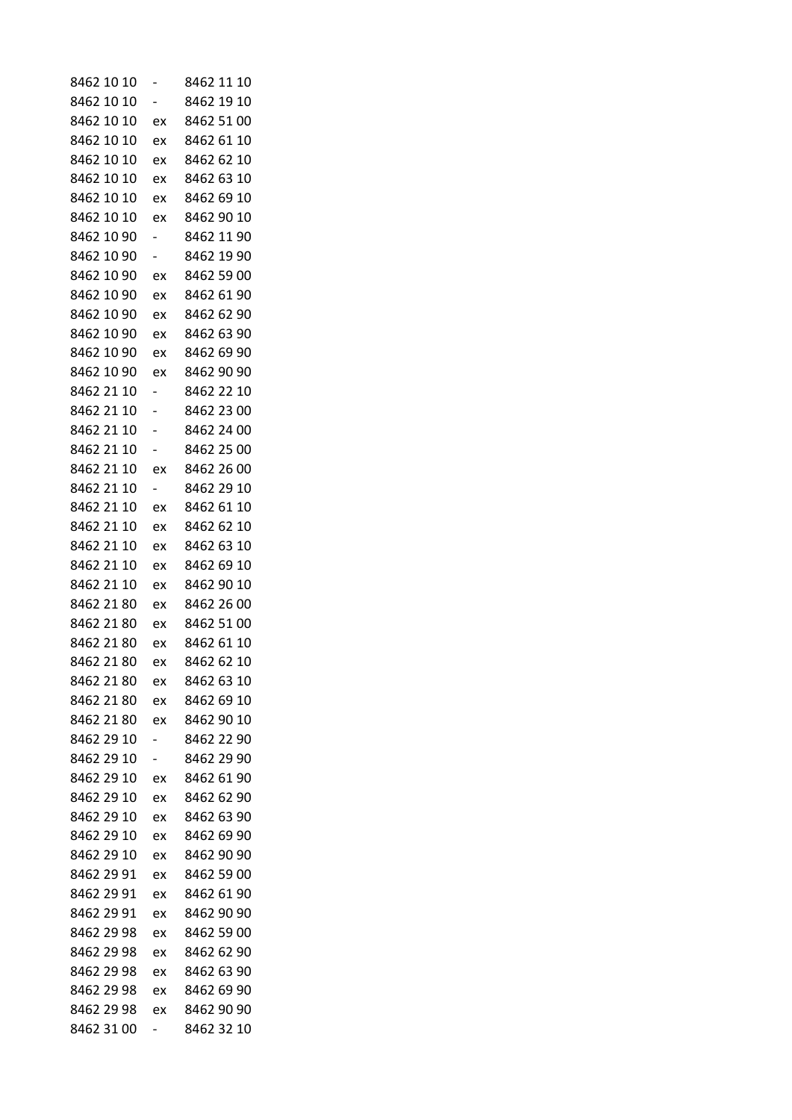| 8462 10 10 |                          | 8462 11<br>10 |
|------------|--------------------------|---------------|
| 8462 10 10 | -                        | 8462 19 10    |
| 8462 10 10 | ex                       | 8462 51 00    |
| 8462 10 10 | ex                       | 8462 61 10    |
| 8462 10 10 | ex                       | 8462 62 10    |
| 8462 10 10 | ex                       | 8462 63 10    |
| 8462 10 10 | ex                       | 8462 69 10    |
| 8462 10 10 | ex                       | 8462 90 10    |
| 8462 10 90 |                          | 8462 11 90    |
| 8462 10 90 | -                        | 8462 19 90    |
| 8462 10 90 | ex                       | 8462 59 00    |
| 8462 10 90 | ex                       | 8462 61 90    |
| 8462 10 90 | ex                       | 8462 62 90    |
| 8462 10 90 | ex                       | 8462 63 90    |
| 8462 10 90 | ex                       | 8462 69 90    |
| 8462 10 90 | ex                       | 8462 90 90    |
| 8462 21 10 | -                        | 8462 22 10    |
| 8462 21 10 |                          | 8462 23 00    |
| 8462 21 10 | -                        | 8462 24 00    |
| 8462 21 10 |                          | 8462 25 00    |
| 8462 21 10 | ex                       | 8462 26 00    |
| 8462 21 10 | $\overline{\phantom{0}}$ | 8462 29 10    |
| 8462 21 10 | ex                       | 8462 61 10    |
| 8462 21 10 | ex                       | 8462 62 10    |
| 8462 21 10 | ex                       | 8462 63 10    |
| 8462 21 10 | ex                       | 8462 69 10    |
| 8462 21 10 | ex                       | 8462 90 10    |
| 8462 21 80 | ex                       | 8462 26 00    |
| 8462 21 80 | ex                       | 8462 51 00    |
| 8462 21 80 | ex                       | 8462 61 10    |
| 8462 21 80 | ex                       | 8462 62 10    |
| 8462 21 80 | ex                       | 8462 63 10    |
| 8462 21 80 | ex                       | 8462 69 10    |
| 8462 21 80 | ex                       | 8462 90 10    |
| 8462 29 10 |                          | 8462 22 90    |
| 8462 29 10 | -                        | 8462 29 90    |
| 8462 29 10 | ex                       | 8462 61 90    |
| 8462 29 10 | ex                       | 8462 62 90    |
| 8462 29 10 | ex                       | 8462 63 90    |
| 8462 29 10 | ex                       | 8462 69 90    |
| 8462 29 10 | ex                       | 8462 90 90    |
| 8462 29 91 | ex                       | 8462 59 00    |
| 8462 29 91 | ex                       | 8462 61 90    |
| 8462 29 91 | ex                       | 8462 90 90    |
| 8462 29 98 | ex                       | 8462 59 00    |
| 8462 29 98 | ex                       | 8462 62 90    |
| 8462 29 98 | ex                       | 8462 63 90    |
| 8462 29 98 | ex                       | 8462 69 90    |
| 8462 29 98 | ex                       | 8462 90 90    |
| 8462 31 00 | -                        | 8462 32 10    |
|            |                          |               |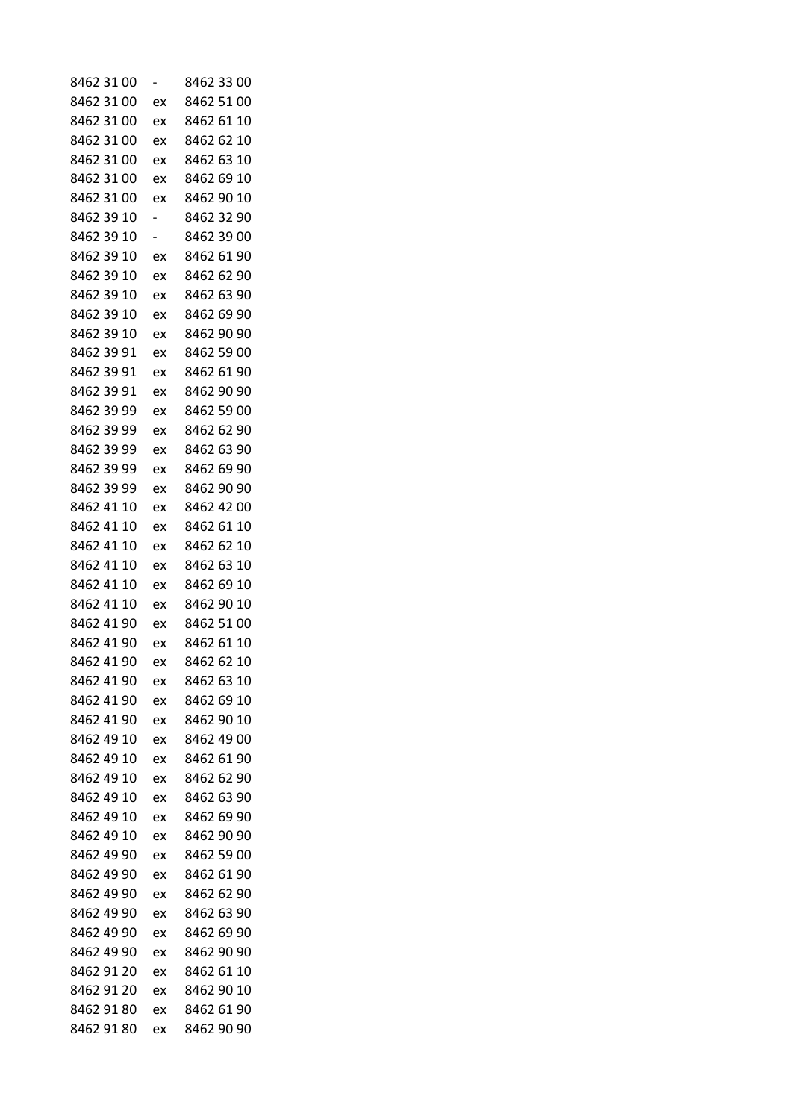| 8462 31 00 |    | 8462 33 00 |
|------------|----|------------|
| 8462 31 00 | ex | 8462 51 00 |
| 8462 31 00 | ex | 8462 61 10 |
| 8462 31 00 | ex | 8462 62 10 |
| 8462 31 00 | ex | 8462 63 10 |
| 8462 31 00 | ex | 8462 69 10 |
| 8462 31 00 | ex | 8462 90 10 |
| 8462 39 10 | -  | 8462 32 90 |
| 8462 39 10 | -  | 8462 39 00 |
| 8462 39 10 | ex | 8462 61 90 |
| 8462 39 10 | ex | 8462 62 90 |
| 8462 39 10 | ex | 8462 63 90 |
| 8462 39 10 | ex | 8462 69 90 |
| 8462 39 10 | ex | 8462 90 90 |
| 8462 39 91 | ex | 8462 59 00 |
| 8462 39 91 | ex | 8462 61 90 |
| 8462 39 91 | ex | 8462 90 90 |
| 8462 39 99 | ex | 8462 59 00 |
| 8462 39 99 | ex | 8462 62 90 |
| 8462 39 99 | ex | 8462 63 90 |
| 8462 39 99 | ex | 8462 69 90 |
| 8462 39 99 | ex | 8462 90 90 |
| 8462 41 10 | ex | 8462 42 00 |
| 8462 41 10 | ex | 8462 61 10 |
| 8462 41 10 | ex | 8462 62 10 |
| 8462 41 10 | ex | 8462 63 10 |
| 8462 41 10 | ex | 8462 69 10 |
| 8462 41 10 | ex | 8462 90 10 |
| 8462 41 90 | ex | 8462 51 00 |
| 8462 41 90 | ex | 8462 61 10 |
| 8462 41 90 | ex | 8462 62 10 |
| 8462 41 90 | ex | 8462 63 10 |
| 8462 41 90 | ex | 8462 69 10 |
| 8462 41 90 | ex | 8462 90 10 |
| 8462 49 10 | ex | 8462 49 00 |
| 8462 49 10 | ex | 8462 61 90 |
| 8462 49 10 | ex | 8462 62 90 |
| 8462 49 10 | ex | 8462 63 90 |
| 8462 49 10 | ex | 8462 69 90 |
| 8462 49 10 | ex | 8462 90 90 |
| 8462 49 90 | ex | 8462 59 00 |
| 8462 49 90 | ex | 8462 61 90 |
| 8462 49 90 | ex | 8462 62 90 |
| 8462 49 90 | ex | 8462 63 90 |
| 8462 49 90 | ex | 8462 69 90 |
| 8462 49 90 | ex | 8462 90 90 |
| 8462 91 20 | ex | 8462 61 10 |
| 8462 91 20 | ex | 8462 90 10 |
| 8462 91 80 | ex | 8462 61 90 |
| 8462 91 80 | ex | 8462 90 90 |
|            |    |            |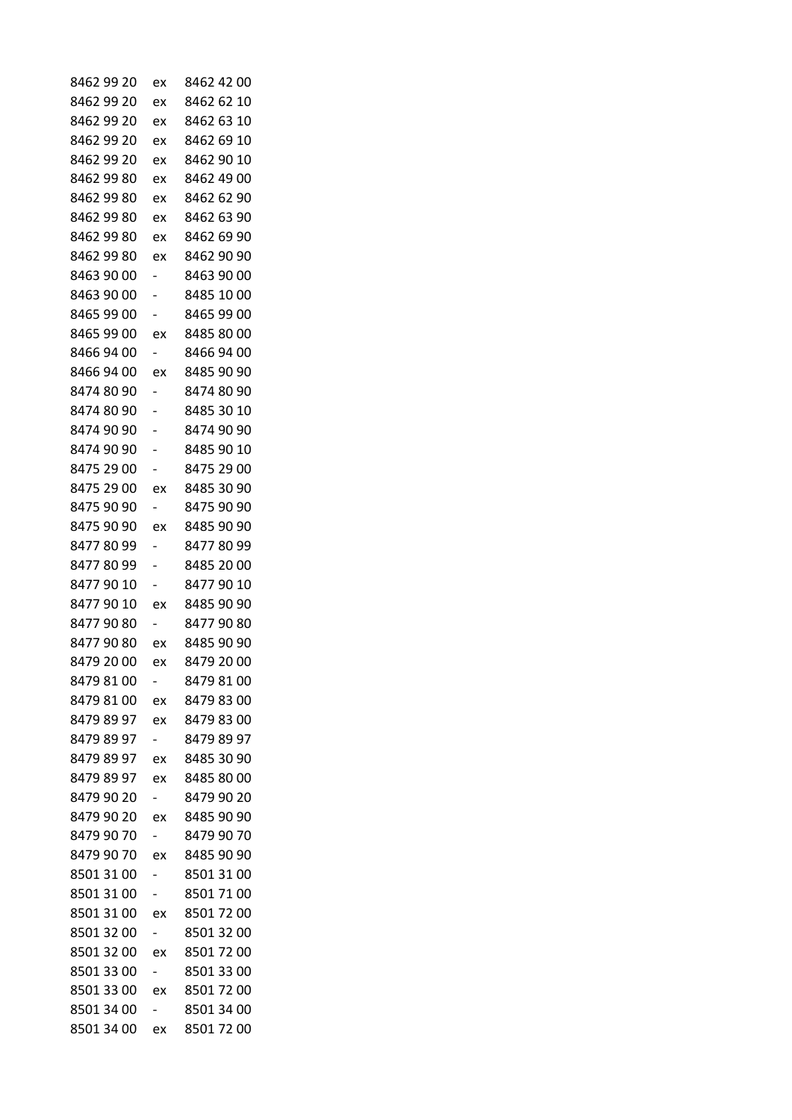| 8462 99 20 | ex                       | 8462 42 00 |
|------------|--------------------------|------------|
| 8462 99 20 | ex                       | 8462 62 10 |
| 8462 99 20 | ex                       | 8462 63 10 |
| 8462 99 20 | ex                       | 8462 69 10 |
| 8462 99 20 | ex                       | 8462 90 10 |
| 8462 99 80 | ex                       | 8462 49 00 |
| 8462 99 80 | ex                       | 8462 62 90 |
| 8462 99 80 | ex                       | 8462 63 90 |
| 8462 99 80 | ex                       | 8462 69 90 |
| 8462 99 80 | ex                       | 8462 90 90 |
| 8463 90 00 |                          | 8463 90 00 |
| 8463 90 00 |                          | 8485 10 00 |
| 8465 99 00 |                          | 8465 99 00 |
| 8465 99 00 | ex                       | 8485 80 00 |
| 8466 94 00 |                          | 8466 94 00 |
| 8466 94 00 | ex                       | 8485 90 90 |
| 8474 80 90 | -                        | 8474 80 90 |
| 8474 80 90 |                          | 8485 30 10 |
| 8474 90 90 |                          | 8474 90 90 |
| 8474 90 90 |                          | 8485 90 10 |
| 8475 29 00 |                          | 8475 29 00 |
| 8475 29 00 | ex                       | 8485 30 90 |
| 8475 90 90 |                          | 8475 90 90 |
| 8475 90 90 | ex                       | 8485 90 90 |
| 84778099   | -                        | 8477 80 99 |
| 84778099   | -                        | 8485 20 00 |
| 8477 90 10 |                          | 8477 90 10 |
| 8477 90 10 | ex                       | 8485 90 90 |
| 84779080   |                          | 8477 90 80 |
| 84779080   | ex                       | 8485 90 90 |
| 8479 20 00 | ex                       | 8479 20 00 |
| 8479 81 00 |                          | 8479 81 00 |
| 8479 81 00 | ex                       | 8479 83 00 |
| 8479 89 97 | ex                       | 8479 83 00 |
| 8479 89 97 |                          | 8479 89 97 |
| 8479 89 97 | ex                       | 8485 30 90 |
| 8479 89 97 | ex                       | 8485 80 00 |
| 8479 90 20 | $\overline{\phantom{0}}$ | 8479 90 20 |
| 8479 90 20 | ex                       | 8485 90 90 |
| 8479 90 70 | ۰,                       | 8479 90 70 |
| 8479 90 70 | ex                       | 8485 90 90 |
| 8501 31 00 |                          | 8501 31 00 |
| 8501 31 00 | ۰,                       | 8501 71 00 |
| 8501 31 00 | ex                       | 8501 72 00 |
| 8501 32 00 | Ξ.                       | 8501 32 00 |
| 8501 32 00 | ex                       | 8501 72 00 |
| 8501 33 00 | $\overline{\phantom{0}}$ | 8501 33 00 |
| 8501 33 00 | ex                       | 85017200   |
| 8501 34 00 |                          | 8501 34 00 |
| 8501 34 00 | ex                       | 8501 72 00 |
|            |                          |            |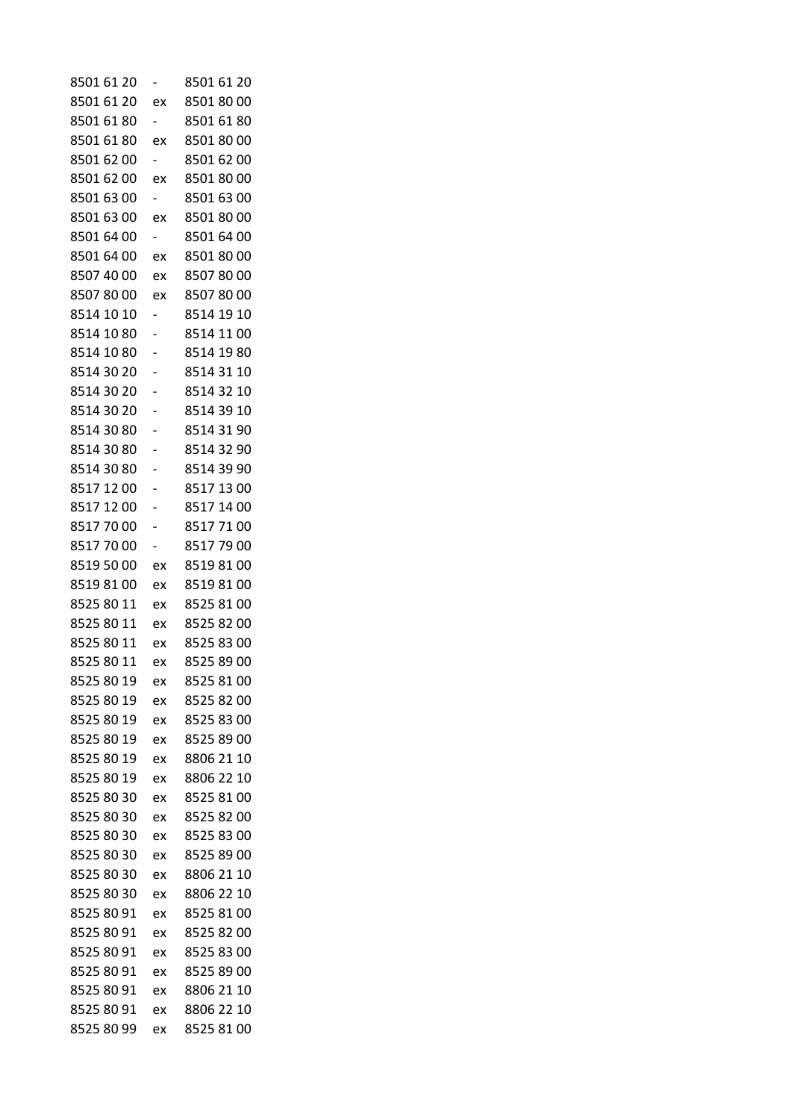| 8501 61 20 |                          | 8501 61 20 |
|------------|--------------------------|------------|
| 8501 61 20 | ex                       | 8501 80 00 |
| 8501 61 80 | $\overline{\phantom{0}}$ | 8501 61 80 |
| 8501 61 80 | ex                       | 8501 80 00 |
| 8501 62 00 |                          | 8501 62 00 |
| 8501 62 00 | ex                       | 8501 80 00 |
| 8501 63 00 | $\overline{\phantom{0}}$ | 8501 63 00 |
| 8501 63 00 | ex                       | 8501 80 00 |
| 8501 64 00 |                          | 8501 64 00 |
| 8501 64 00 | ex                       | 8501 80 00 |
| 8507 40 00 | ex                       | 8507 80 00 |
| 85078000   | ex                       | 85078000   |
| 8514 10 10 | $\overline{\phantom{a}}$ | 8514 19 10 |
| 8514 10 80 |                          | 8514 11 00 |
| 8514 10 80 |                          | 8514 19 80 |
| 8514 30 20 |                          | 8514 31 10 |
| 8514 30 20 |                          | 8514 32 10 |
| 8514 30 20 |                          | 8514 39 10 |
| 8514 30 80 |                          | 8514 31 90 |
| 8514 30 80 |                          | 8514 32 90 |
| 8514 30 80 |                          | 8514 39 90 |
| 8517 12 00 |                          | 8517 13 00 |
| 8517 12 00 |                          | 8517 14 00 |
| 85177000   |                          | 85177100   |
| 85177000   |                          | 85177900   |
| 8519 50 00 | ex                       | 85198100   |
| 85198100   | ex                       | 8519 81 00 |
| 8525 80 11 | ex                       | 8525 81 00 |
| 8525 80 11 | ex                       | 8525 82 00 |
| 8525 80 11 | ex                       | 8525 83 00 |
| 8525 80 11 | ex                       | 8525 89 00 |
| 8525 80 19 | ex                       | 8525 81 00 |
| 8525 80 19 | ex                       | 8525 82 00 |
| 8525 80 19 | ex                       | 8525 83 00 |
| 8525 80 19 | ex                       | 8525 89 00 |
| 8525 80 19 | ex                       | 8806 21 10 |
| 8525 80 19 | ex                       | 8806 22 10 |
| 8525 80 30 | ex                       | 8525 81 00 |
| 8525 80 30 | ex                       | 8525 82 00 |
| 8525 80 30 | ex                       | 8525 83 00 |
| 8525 80 30 | ex                       | 8525 89 00 |
| 8525 80 30 | ex                       | 8806 21 10 |
| 8525 80 30 | ex                       | 8806 22 10 |
| 8525 80 91 | ex                       | 8525 81 00 |
| 8525 80 91 | ex                       | 8525 82 00 |
| 8525 80 91 | ex                       | 8525 83 00 |
| 8525 80 91 | ex                       | 8525 89 00 |
| 8525 80 91 | ex                       | 8806 21 10 |
| 8525 80 91 | ex                       | 8806 22 10 |
| 8525 80 99 | ex                       | 8525 81 00 |
|            |                          |            |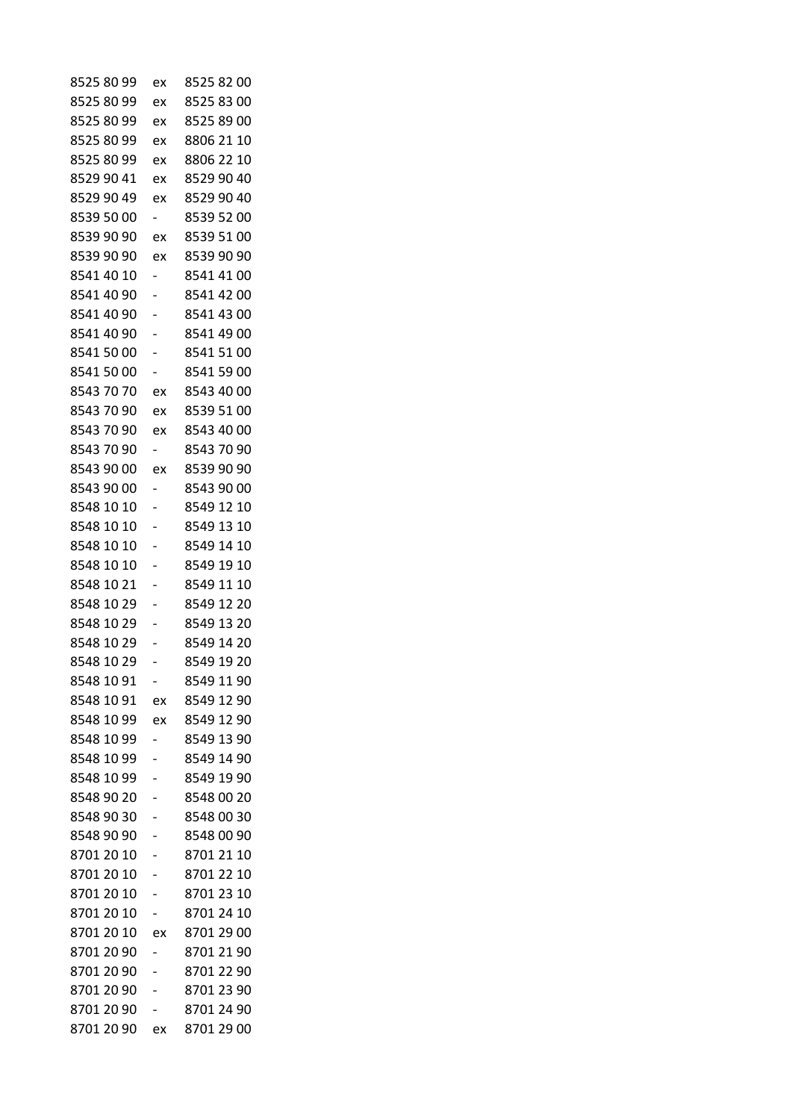| 8525 80 99 | ex                       | 8525 82 00 |
|------------|--------------------------|------------|
| 8525 80 99 | ex                       | 8525 83 00 |
| 8525 80 99 | ex                       | 8525 89 00 |
| 8525 80 99 | ex                       | 8806 21 10 |
| 8525 80 99 | ex                       | 8806 22 10 |
| 8529 90 41 | ex                       | 8529 90 40 |
| 8529 90 49 | ex                       | 8529 90 40 |
| 8539 50 00 | $\overline{\phantom{0}}$ | 8539 52 00 |
| 8539 90 90 | ex                       | 8539 51 00 |
| 8539 90 90 | ex                       | 8539 90 90 |
| 8541 40 10 |                          | 8541 41 00 |
| 8541 40 90 |                          | 8541 42 00 |
| 8541 40 90 |                          | 8541 43 00 |
| 8541 40 90 |                          | 8541 49 00 |
| 8541 50 00 |                          | 8541 51 00 |
| 8541 50 00 |                          | 8541 59 00 |
| 8543 70 70 | ex                       | 8543 40 00 |
| 8543 70 90 | ex                       | 8539 51 00 |
| 8543 70 90 | ex                       | 8543 40 00 |
| 8543 70 90 | $\overline{\phantom{0}}$ | 8543 70 90 |
| 8543 90 00 | ex                       | 8539 90 90 |
| 8543 90 00 | -                        | 8543 90 00 |
| 8548 10 10 |                          | 8549 12 10 |
| 8548 10 10 |                          | 8549 13 10 |
| 8548 10 10 |                          | 8549 14 10 |
| 8548 10 10 |                          | 8549 19 10 |
| 8548 10 21 |                          | 8549 11 10 |
| 8548 10 29 |                          | 8549 12 20 |
| 8548 10 29 |                          | 8549 13 20 |
| 8548 10 29 |                          | 8549 14 20 |
| 8548 10 29 |                          | 8549 19 20 |
| 8548 10 91 |                          | 8549 11 90 |
| 8548 10 91 | ex                       | 8549 12 90 |
| 8548 10 99 | ex                       | 8549 12 90 |
| 8548 10 99 |                          | 8549 13 90 |
| 8548 10 99 |                          | 8549 14 90 |
| 8548 10 99 |                          | 8549 19 90 |
| 8548 90 20 |                          | 8548 00 20 |
| 8548 90 30 |                          | 8548 00 30 |
| 8548 90 90 | -                        | 8548 00 90 |
| 8701 20 10 |                          | 8701 21 10 |
| 8701 20 10 |                          | 8701 22 10 |
| 8701 20 10 |                          | 8701 23 10 |
| 8701 20 10 |                          | 8701 24 10 |
| 8701 20 10 | ex                       | 8701 29 00 |
| 8701 20 90 | -                        | 8701 21 90 |
| 8701 20 90 |                          | 8701 22 90 |
| 8701 20 90 |                          | 8701 23 90 |
| 8701 20 90 |                          | 8701 24 90 |
| 8701 20 90 | ex                       | 8701 29 00 |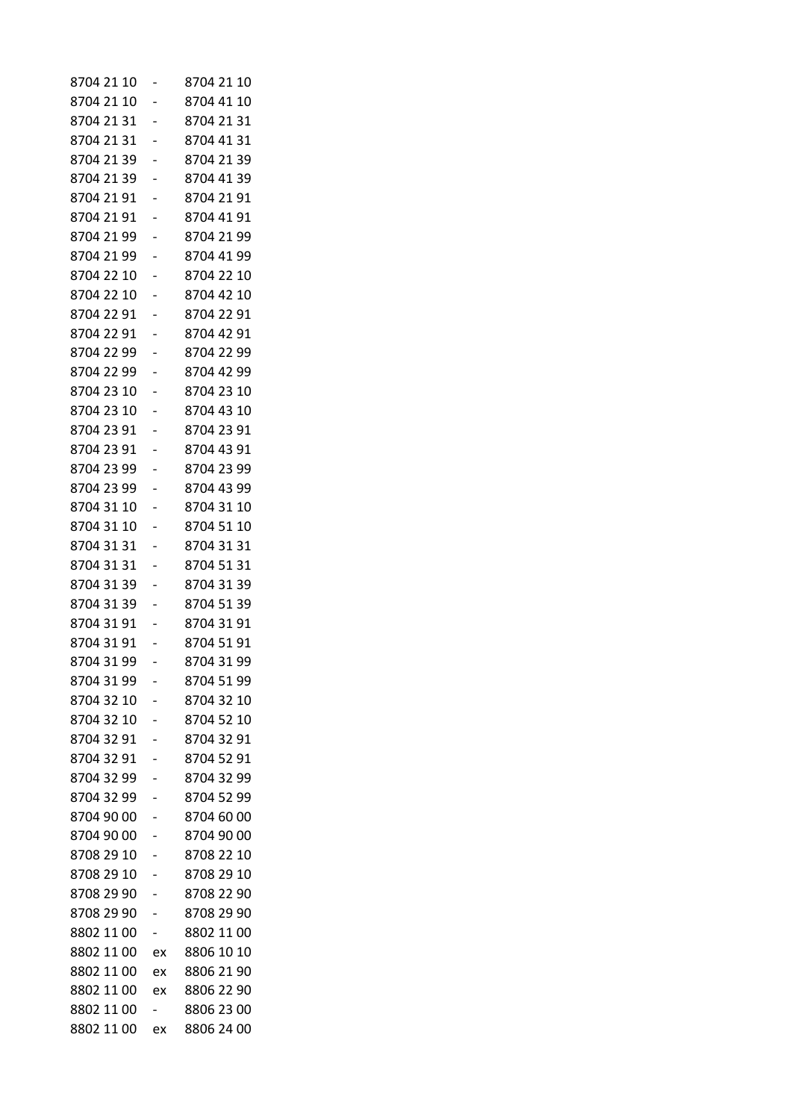| 8704 21 10 |    | 8704 21 10 |
|------------|----|------------|
| 8704 21 10 |    | 8704 41 10 |
| 8704 21 31 |    | 8704 21 31 |
| 8704 21 31 |    | 8704 41 31 |
| 8704 21 39 |    | 8704 21 39 |
| 8704 21 39 |    | 8704 41 39 |
| 8704 21 91 |    | 8704 21 91 |
| 8704 21 91 |    | 8704 41 91 |
| 8704 21 99 |    | 8704 21 99 |
| 8704 21 99 |    | 8704 41 99 |
| 8704 22 10 |    | 8704 22 10 |
| 8704 22 10 |    | 8704 42 10 |
| 8704 22 91 |    | 8704 22 91 |
| 8704 22 91 |    | 8704 42 91 |
| 8704 22 99 |    | 8704 22 99 |
| 8704 22 99 |    | 8704 42 99 |
| 8704 23 10 |    | 8704 23 10 |
| 8704 23 10 |    | 8704 43 10 |
| 8704 23 91 |    | 8704 23 91 |
| 8704 23 91 |    | 8704 43 91 |
| 8704 23 99 |    | 8704 23 99 |
| 8704 23 99 |    | 8704 43 99 |
| 8704 31 10 |    | 8704 31 10 |
| 8704 31 10 |    | 8704 51 10 |
| 8704 31 31 |    | 8704 31 31 |
| 8704 31 31 |    | 8704 51 31 |
| 8704 31 39 |    | 8704 31 39 |
| 8704 31 39 |    | 8704 51 39 |
| 8704 31 91 |    | 8704 31 91 |
| 8704 31 91 |    | 8704 51 91 |
| 8704 31 99 |    | 8704 31 99 |
| 8704 31 99 |    | 8704 51 99 |
| 8704 32 10 |    | 8704 32 10 |
| 8704 32 10 |    | 8704 52 10 |
| 8704 32 91 |    | 8704 32 91 |
| 8704 32 91 |    | 8704 52 91 |
| 8704 32 99 |    | 8704 32 99 |
| 8704 32 99 |    | 8704 52 99 |
| 8704 90 00 |    | 8704 60 00 |
| 8704 90 00 |    | 8704 90 00 |
| 8708 29 10 |    | 8708 22 10 |
| 8708 29 10 |    | 8708 29 10 |
| 8708 29 90 |    | 8708 22 90 |
| 8708 29 90 |    | 8708 29 90 |
| 8802 11 00 |    | 8802 11 00 |
| 8802 11 00 | ex | 8806 10 10 |
| 8802 11 00 | ex | 8806 21 90 |
| 8802 11 00 | ex | 8806 22 90 |
| 8802 11 00 |    | 8806 23 00 |
| 8802 11 00 | ex | 8806 24 00 |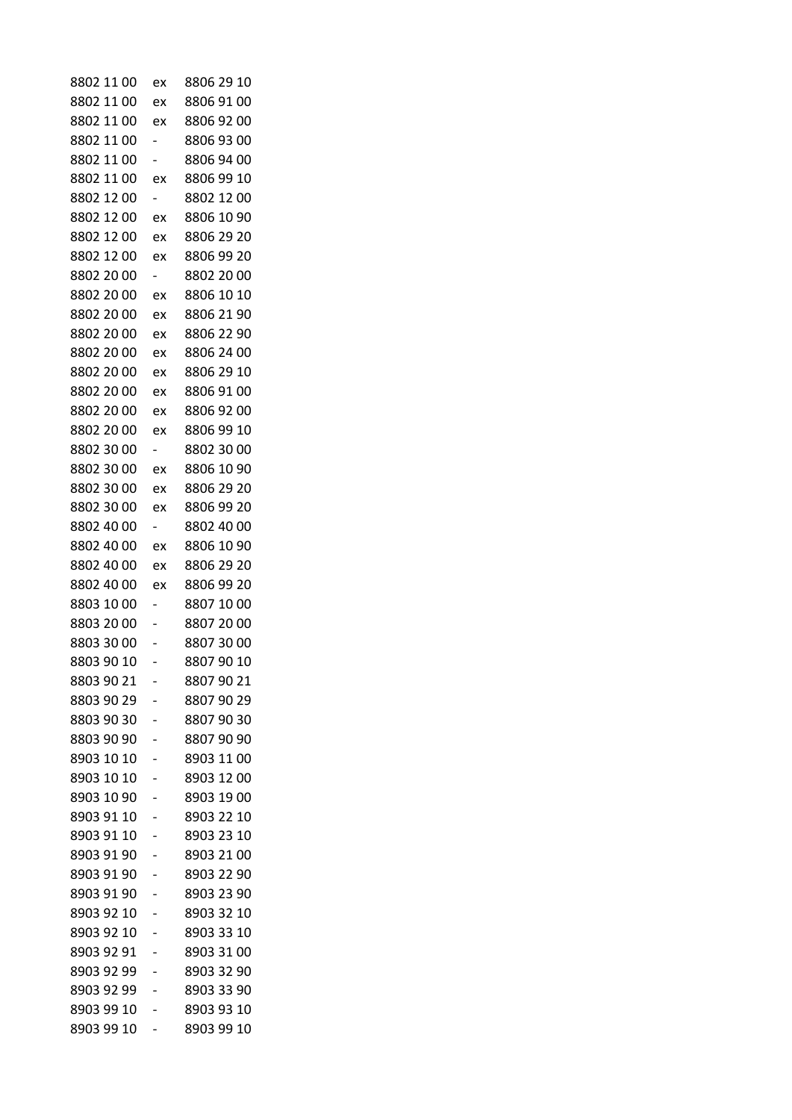| 8802 11 00 | ex                       | 8806 29 10 |
|------------|--------------------------|------------|
| 8802 11 00 | ex                       | 8806 91 00 |
| 8802 11 00 | ex                       | 8806 92 00 |
| 8802 11 00 |                          | 8806 93 00 |
| 8802 11 00 |                          | 8806 94 00 |
| 8802 11 00 | ex                       | 8806 99 10 |
| 8802 12 00 | $\overline{\phantom{0}}$ | 8802 12 00 |
| 8802 12 00 | ex                       | 8806 10 90 |
| 8802 12 00 | ex                       | 8806 29 20 |
| 8802 12 00 | ex                       | 8806 99 20 |
| 8802 20 00 |                          | 8802 20 00 |
| 8802 20 00 | ex                       | 8806 10 10 |
| 8802 20 00 | ex                       | 8806 21 90 |
| 8802 20 00 | ex                       | 8806 22 90 |
| 8802 20 00 | ex                       | 8806 24 00 |
| 8802 20 00 | ex                       | 8806 29 10 |
| 8802 20 00 | ex                       | 8806 91 00 |
| 8802 20 00 | ex                       | 8806 92 00 |
| 8802 20 00 | ex                       | 8806 99 10 |
| 8802 30 00 | $\overline{\phantom{0}}$ | 8802 30 00 |
| 8802 30 00 | ex                       | 8806 10 90 |
| 8802 30 00 | ex                       | 8806 29 20 |
| 8802 30 00 | ex                       | 8806 99 20 |
| 8802 40 00 |                          | 8802 40 00 |
| 8802 40 00 | ex                       | 8806 10 90 |
| 8802 40 00 | ex                       | 8806 29 20 |
| 8802 40 00 | ex                       | 8806 99 20 |
| 8803 10 00 |                          | 8807 10 00 |
| 8803 20 00 |                          | 8807 20 00 |
| 8803 30 00 |                          | 8807 30 00 |
| 8803 90 10 |                          | 8807 90 10 |
| 8803 90 21 |                          | 8807 90 21 |
| 8803 90 29 |                          | 8807 90 29 |
| 8803 90 30 |                          | 8807 90 30 |
| 8803 90 90 |                          | 8807 90 90 |
| 8903 10 10 |                          | 8903 11 00 |
| 8903 10 10 |                          | 8903 12 00 |
| 8903 10 90 |                          | 8903 19 00 |
| 8903 91 10 |                          | 8903 22 10 |
| 8903 91 10 |                          | 8903 23 10 |
| 8903 91 90 |                          | 8903 21 00 |
| 8903 91 90 |                          | 8903 22 90 |
| 8903 91 90 |                          | 8903 23 90 |
| 8903 92 10 |                          | 8903 32 10 |
| 8903 92 10 |                          | 8903 33 10 |
| 8903 92 91 |                          | 8903 31 00 |
| 8903 92 99 |                          | 8903 32 90 |
| 8903 92 99 |                          | 8903 33 90 |
| 8903 99 10 |                          | 8903 93 10 |
| 8903 99 10 |                          | 8903 99 10 |
|            |                          |            |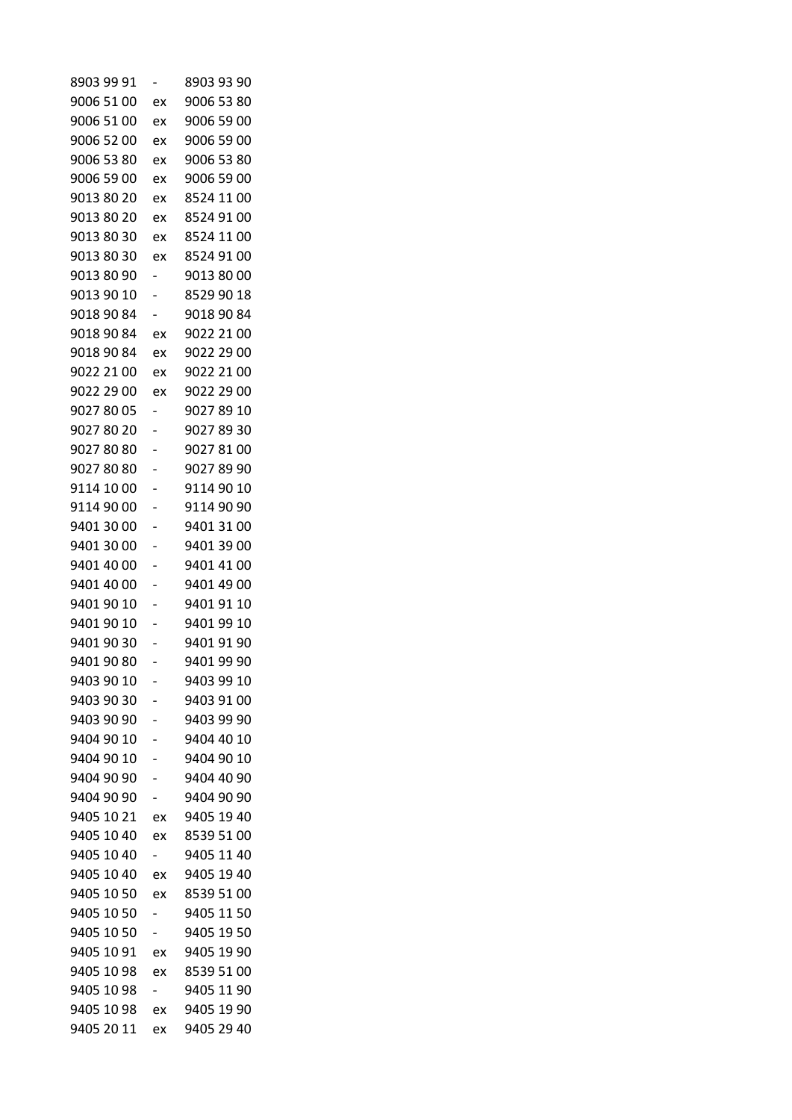| 8903 99 91 |                          | 8903 93 90 |
|------------|--------------------------|------------|
| 9006 51 00 | ex                       | 9006 53 80 |
| 9006 51 00 | ex                       | 9006 59 00 |
| 9006 52 00 | ex                       | 9006 59 00 |
| 9006 53 80 | ex                       | 9006 53 80 |
| 9006 59 00 | ex                       | 9006 59 00 |
| 9013 80 20 | ex                       | 8524 11 00 |
| 9013 80 20 | ex                       | 8524 91 00 |
| 9013 80 30 | ex                       | 8524 11 00 |
| 9013 80 30 | ex                       | 8524 91 00 |
| 9013 80 90 |                          | 9013 80 00 |
| 9013 90 10 | -                        | 8529 90 18 |
| 9018 90 84 | $\overline{\phantom{0}}$ | 9018 90 84 |
| 9018 90 84 | ex                       | 9022 21 00 |
| 9018 90 84 | ex                       | 9022 29 00 |
| 9022 21 00 | ex                       | 9022 21 00 |
| 9022 29 00 | ex                       | 9022 29 00 |
| 9027 80 05 |                          | 9027 89 10 |
| 90278020   |                          | 9027 89 30 |
| 90278080   |                          | 9027 81 00 |
| 9027 80 80 |                          | 9027 89 90 |
| 9114 10 00 |                          | 9114 90 10 |
| 9114 90 00 |                          | 9114 90 90 |
| 9401 30 00 |                          | 9401 31 00 |
| 9401 30 00 |                          | 9401 39 00 |
| 9401 40 00 |                          | 9401 41 00 |
| 9401 40 00 |                          | 9401 49 00 |
| 9401 90 10 |                          | 9401 91 10 |
| 9401 90 10 |                          | 9401 99 10 |
| 9401 90 30 |                          | 9401 91 90 |
| 9401 90 80 |                          | 9401 99 90 |
| 9403 90 10 |                          | 9403 99 10 |
| 9403 90 30 |                          | 9403 91 00 |
| 9403 90 90 | -                        | 9403 99 90 |
| 9404 90 10 |                          | 9404 40 10 |
| 9404 90 10 |                          | 9404 90 10 |
| 9404 90 90 |                          | 9404 40 90 |
| 9404 90 90 | -                        | 9404 90 90 |
| 9405 10 21 | ex                       | 9405 19 40 |
| 9405 10 40 | ex                       | 8539 51 00 |
| 9405 10 40 | Ξ.                       | 9405 11 40 |
| 9405 10 40 | ex                       | 9405 19 40 |
| 9405 10 50 | ex                       | 8539 51 00 |
| 9405 10 50 |                          | 9405 11 50 |
| 9405 10 50 | $\overline{\phantom{0}}$ | 9405 19 50 |
| 9405 10 91 | ex                       | 9405 19 90 |
| 9405 10 98 | ex                       | 8539 51 00 |
| 9405 10 98 | Ξ.                       | 9405 11 90 |
| 9405 10 98 |                          | 9405 19 90 |
| 9405 20 11 | ex<br>ex                 | 9405 29 40 |
|            |                          |            |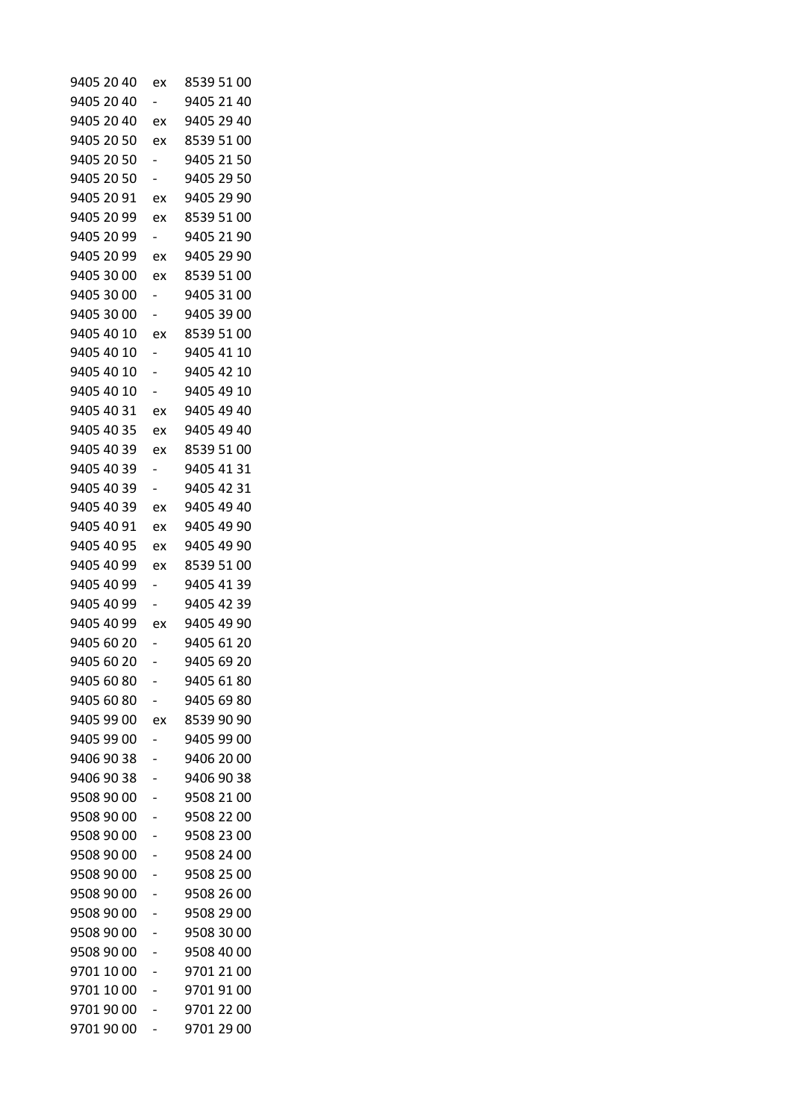| 9405 20 40 | ex                       | 8539 51 00 |
|------------|--------------------------|------------|
| 9405 20 40 | -                        | 9405 21 40 |
| 9405 20 40 | ex                       | 9405 29 40 |
| 9405 20 50 | ex                       | 8539 51 00 |
| 9405 20 50 |                          | 9405 21 50 |
| 9405 20 50 |                          | 9405 29 50 |
| 9405 20 91 | ex                       | 9405 29 90 |
| 9405 20 99 | ex                       | 8539 51 00 |
| 9405 20 99 |                          | 9405 21 90 |
| 9405 20 99 | ex                       | 9405 29 90 |
| 9405 30 00 | ex                       | 8539 51 00 |
| 9405 30 00 |                          | 9405 31 00 |
| 9405 30 00 | -                        | 9405 39 00 |
| 9405 40 10 | ex                       | 8539 51 00 |
| 9405 40 10 |                          | 9405 41 10 |
| 9405 40 10 |                          | 9405 42 10 |
| 9405 40 10 |                          | 9405 49 10 |
| 9405 40 31 | ex                       | 9405 49 40 |
| 9405 40 35 | ex                       | 9405 49 40 |
| 9405 40 39 | ex                       | 8539 51 00 |
| 9405 40 39 | -                        | 9405 41 31 |
| 9405 40 39 | -                        | 9405 42 31 |
| 9405 40 39 | ex                       | 9405 49 40 |
| 9405 40 91 | ex                       | 9405 49 90 |
| 9405 40 95 | ex                       | 9405 49 90 |
| 9405 40 99 | ex                       | 8539 51 00 |
| 9405 40 99 | $\overline{\phantom{a}}$ | 9405 41 39 |
| 9405 40 99 |                          | 9405 42 39 |
| 9405 40 99 | ex                       | 9405 49 90 |
| 9405 60 20 |                          | 9405 61 20 |
| 9405 60 20 |                          | 9405 69 20 |
| 9405 60 80 |                          | 9405 61 80 |
| 9405 60 80 |                          | 9405 69 80 |
| 9405 99 00 | ex                       | 8539 90 90 |
| 9405 99 00 |                          | 9405 99 00 |
| 9406 90 38 |                          | 9406 20 00 |
| 9406 90 38 |                          | 9406 90 38 |
| 9508 90 00 |                          | 9508 21 00 |
| 9508 90 00 |                          | 9508 22 00 |
| 9508 90 00 |                          | 9508 23 00 |
| 9508 90 00 |                          | 9508 24 00 |
| 9508 90 00 |                          | 9508 25 00 |
| 9508 90 00 |                          | 9508 26 00 |
| 9508 90 00 |                          | 9508 29 00 |
| 9508 90 00 |                          | 9508 30 00 |
| 9508 90 00 |                          | 9508 40 00 |
| 9701 10 00 |                          | 9701 21 00 |
| 9701 10 00 |                          | 9701 91 00 |
| 9701 90 00 |                          | 9701 22 00 |
| 9701 90 00 |                          | 9701 29 00 |
|            |                          |            |